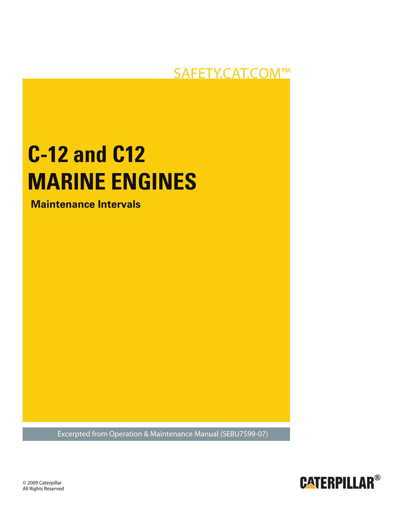# **SAFETY.CAT.COM™**

# **C-12 and C12 MARINE ENGINES**

**Maintenance Intervals**

**Excerpted from Operation & Maintenance Manual (SEBU7599-07)** 



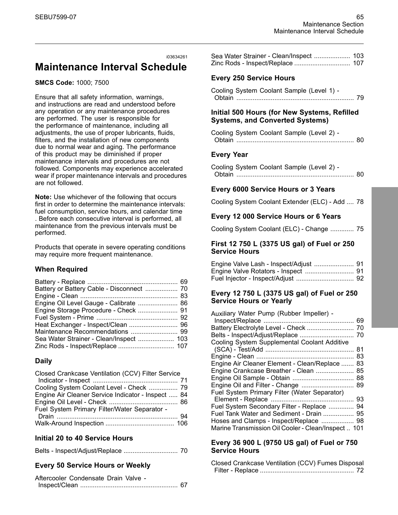### i03634261 **Maintenance Interval Schedule**

#### **SMCS Code:** 1000; 7500

Ensure that all safety information, warnings, and instructions are read and understood before any operation or any maintenance procedures are performed. The user is responsible for the performance of maintenance, including all adjustments, the use of proper lubricants, fluids, filters, and the installation of new components due to normal wear and aging. The performance of this product may be diminished if proper maintenance intervals and procedures are not followed. Components may experience accelerated wear if proper maintenance intervals and procedures are not followed.

**Note:** Use whichever of the following that occurs first in order to determine the maintenance intervals: fuel consumption, service hours, and calendar time . Before each consecutive interval is performed, all maintenance from the previous intervals must be performed.

Products that operate in severe operating conditions may require more frequent maintenance.

#### **When Required**

| Battery or Battery Cable - Disconnect  70 |  |
|-------------------------------------------|--|
|                                           |  |
| Engine Oil Level Gauge - Calibrate  86    |  |
|                                           |  |
|                                           |  |
|                                           |  |
|                                           |  |
|                                           |  |
|                                           |  |

#### **Daily**

| Closed Crankcase Ventilation (CCV) Filter Service  |  |
|----------------------------------------------------|--|
|                                                    |  |
| Cooling System Coolant Level - Check  79           |  |
| Engine Air Cleaner Service Indicator - Inspect  84 |  |
|                                                    |  |
| Fuel System Primary Filter/Water Separator -       |  |
|                                                    |  |
|                                                    |  |

#### **Initial 20 to 40 Service Hours**

|--|--|--|

### **Every 50 Service Hours or Weekly**

| Aftercooler Condensate Drain Valve - |  |
|--------------------------------------|--|
|                                      |  |

| Sea Water Strainer - Clean/Inspect  103 |  |
|-----------------------------------------|--|
| Zinc Rods - Inspect/Replace  107        |  |

### **Every 250 Service Hours**

| Cooling System Coolant Sample (Level 1) - |  |
|-------------------------------------------|--|
|                                           |  |

#### **Initial 500 Hours (for New Systems, Refilled Systems, and Converted Systems)**

| Cooling System Coolant Sample (Level 2) - |  |
|-------------------------------------------|--|
|                                           |  |

#### **Every Year**

| Cooling System Coolant Sample (Level 2) - |  |
|-------------------------------------------|--|
|                                           |  |

#### **Every 6000 Service Hours or 3 Years**

Cooling System Coolant Extender (ELC) - Add .... 78

#### **Every 12 000 Service Hours or 6 Years**

Cooling System Coolant (ELC) - Change ............. 75

#### **First 12 750 L (3375 US gal) of Fuel or 250 Service Hours**

| Engine Valve Lash - Inspect/Adjust  91 |  |
|----------------------------------------|--|
|                                        |  |
|                                        |  |

#### **Every 12 750 L (3375 US gal) of Fuel or 250 Service Hours or Yearly**

| Auxiliary Water Pump (Rubber Impeller) -            |    |
|-----------------------------------------------------|----|
|                                                     | 69 |
| Battery Electrolyte Level - Check                   | 70 |
|                                                     | 70 |
| Cooling System Supplemental Coolant Additive        |    |
|                                                     | 81 |
|                                                     | 83 |
| Engine Air Cleaner Element - Clean/Replace          | 83 |
| Engine Crankcase Breather - Clean                   | 85 |
|                                                     | 88 |
| Engine Oil and Filter - Change                      | 89 |
| Fuel System Primary Filter (Water Separator)        |    |
|                                                     | 93 |
| Fuel System Secondary Filter - Replace              | 94 |
| Fuel Tank Water and Sediment - Drain                | 95 |
| Hoses and Clamps - Inspect/Replace                  | 98 |
| Marine Transmission Oil Cooler - Clean/Inspect  101 |    |

#### **Every 36 900 L (9750 US gal) of Fuel or 750 Service Hours**

| Closed Crankcase Ventilation (CCV) Fumes Disposal |  |  |
|---------------------------------------------------|--|--|
|                                                   |  |  |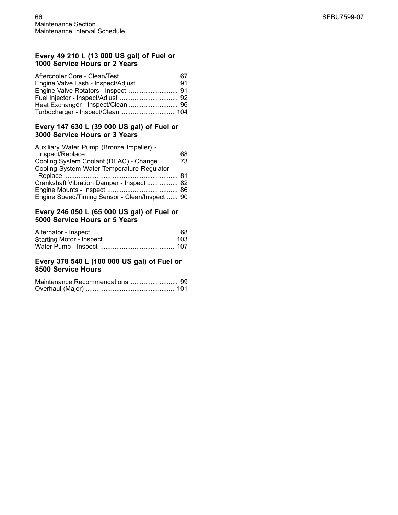#### **Every 49 210 L (13 000 US gal) of Fuel or 1000 Service Hours or 2 Years**

| Engine Valve Lash - Inspect/Adjust  91 |
|----------------------------------------|
|                                        |
|                                        |
|                                        |
| Turbocharger - Inspect/Clean  104      |
|                                        |

#### **Every 147 630 L (39 000 US gal) of Fuel or 3000 Service Hours or 3 Years**

| Auxiliary Water Pump (Bronze Impeller) -       |  |
|------------------------------------------------|--|
|                                                |  |
| Cooling System Coolant (DEAC) - Change  73     |  |
| Cooling System Water Temperature Regulator -   |  |
|                                                |  |
| Crankshaft Vibration Damper - Inspect  82      |  |
|                                                |  |
| Engine Speed/Timing Sensor - Clean/Inspect  90 |  |

#### **Every 246 050 L (65 000 US gal) of Fuel or 5000 Service Hours or 5 Years**

#### **Every 378 540 L (100 000 US gal) of Fuel or 8500 Service Hours**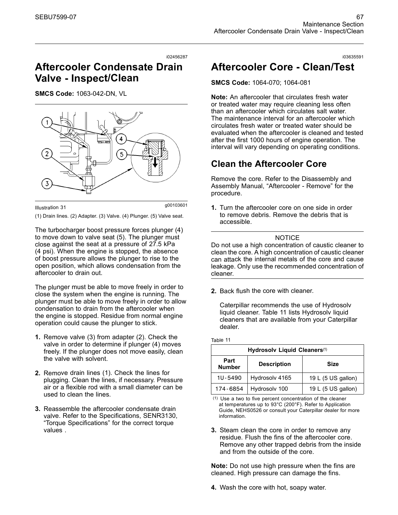#### i02456287

# **Aftercooler Condensate Drain Valve - Inspect/Clean**

**SMCS Code:** 1063-042-DN, VL



g00103601 Illustration 31

(1) Drain lines. (2) Adapter. (3) Valve. (4) Plunger. (5) Valve seat.

The turbocharger boost pressure forces plunger (4) to move down to valve seat (5). The plunger must close against the seat at a pressure of 27.5 kPa (4 psi). When the engine is stopped, the absence of boost pressure allows the plunger to rise to the open position, which allows condensation from the aftercooler to drain out.

The plunger must be able to move freely in order to close the system when the engine is running. The plunger must be able to move freely in order to allow condensation to drain from the aftercooler when the engine is stopped. Residue from normal engine operation could cause the plunger to stick.

- **1.** Remove valve (3) from adapter (2). Check the valve in order to determine if plunger (4) moves freely. If the plunger does not move easily, clean the valve with solvent.
- **2.** Remove drain lines (1). Check the lines for plugging. Clean the lines, if necessary. Pressure air or a flexible rod with a small diameter can be used to clean the lines.
- **3.** Reassemble the aftercooler condensate drain valve. Refer to the Specifications, SENR3130, "Torque Specifications" for the correct torque values .

# **Aftercooler Core - Clean/Test**

#### **SMCS Code:** 1064-070; 1064-081

**Note:** An aftercooler that circulates fresh water or treated water may require cleaning less often than an aftercooler which circulates salt water. The maintenance interval for an aftercooler which circulates fresh water or treated water should be evaluated when the aftercooler is cleaned and tested after the first 1000 hours of engine operation. The interval will vary depending on operating conditions.

# **Clean the Aftercooler Core**

Remove the core. Refer to the Disassembly and Assembly Manual, "Aftercooler - Remove" for the procedure.

**1.** Turn the aftercooler core on one side in order to remove debris. Remove the debris that is accessible.

#### **NOTICE**

Do not use a high concentration of caustic cleaner to clean the core. A high concentration of caustic cleaner can attack the internal metals of the core and cause leakage. Only use the recommended concentration of cleaner.

**2.** Back flush the core with cleaner.

Table 11

Caterpillar recommends the use of Hydrosolv liquid cleaner. Table 11 lists Hydrosolv liquid cleaners that are available from your Caterpillar dealer.

| Hydrosolv Liquid Cleaners <sup>(1)</sup> |                    |                    |
|------------------------------------------|--------------------|--------------------|
| Part<br><b>Number</b>                    | <b>Description</b> | Size               |
| 1U-5490                                  | Hydrosolv 4165     | 19 L (5 US gallon) |
| 174-6854                                 | Hydrosolv 100      | 19 L (5 US gallon) |

(1) Use a two to five percent concentration of the cleaner at temperatures up to 93°C (200°F). Refer to Application Guide, NEHS0526 or consult your Caterpillar dealer for more information.

**3.** Steam clean the core in order to remove any residue. Flush the fins of the aftercooler core. Remove any other trapped debris from the inside and from the outside of the core.

**Note:** Do not use high pressure when the fins are cleaned. High pressure can damage the fins.

**4.** Wash the core with hot, soapy water.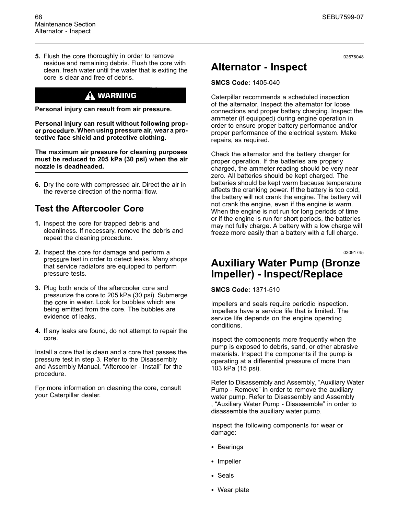**5.** Flush the core thoroughly in order to remove residue and remaining debris. Flush the core with clean, fresh water until the water that is exiting the core is clear and free of debris.

# $\Lambda$  warning

**Personal injury can result from air pressure.**

**Personal injury can result without following proper procedure. When using pressure air, wear a protective face shield and protective clothing.**

**The maximum air pressure for cleaning purposes must be reduced to 205 kPa (30 psi) when the air nozzle is deadheaded.**

**6.** Dry the core with compressed air. Direct the air in the reverse direction of the normal flow.

# **Test the Aftercooler Core**

- **1.** Inspect the core for trapped debris and cleanliness. If necessary, remove the debris and repeat the cleaning procedure.
- **2.** Inspect the core for damage and perform a pressure test in order to detect leaks. Many shops that service radiators are equipped to perform pressure tests.
- **3.** Plug both ends of the aftercooler core and pressurize the core to 205 kPa (30 psi). Submerge the core in water. Look for bubbles which are being emitted from the core. The bubbles are evidence of leaks.
- **4.** If any leaks are found, do not attempt to repair the core.

Install a core that is clean and a core that passes the pressure test in step 3. Refer to the Disassembly and Assembly Manual, "Aftercooler - Install" for the procedure.

For more information on cleaning the core, consult your Caterpillar dealer.

i02676048

# **Alternator - Inspect**

#### **SMCS Code:** 1405-040

Caterpillar recommends a scheduled inspection of the alternator. Inspect the alternator for loose connections and proper battery charging. Inspect the ammeter (if equipped) during engine operation in order to ensure proper battery performance and/or proper performance of the electrical system. Make repairs, as required.

Check the alternator and the battery charger for proper operation. If the batteries are properly charged, the ammeter reading should be very near zero. All batteries should be kept charged. The batteries should be kept warm because temperature affects the cranking power. If the battery is too cold, the battery will not crank the engine. The battery will not crank the engine, even if the engine is warm. When the engine is not run for long periods of time or if the engine is run for short periods, the batteries may not fully charge. A battery with a low charge will freeze more easily than a battery with a full charge.

i03091745

# **Auxiliary Water Pump (Bronze Impeller) - Inspect/Replace**

**SMCS Code:** 1371-510

Impellers and seals require periodic inspection. Impellers have a service life that is limited. The service life depends on the engine operating conditions.

Inspect the components more frequently when the pump is exposed to debris, sand, or other abrasive materials. Inspect the components if the pump is operating at a differential pressure of more than 103 kPa (15 psi).

Refer to Disassembly and Assembly, "Auxiliary Water Pump - Remove" in order to remove the auxiliary water pump. Refer to Disassembly and Assembly , "Auxiliary Water Pump - Disassemble" in order to disassemble the auxiliary water pump.

Inspect the following components for wear or damage:

- Bearings
- Impeller
- Seals
- Wear plate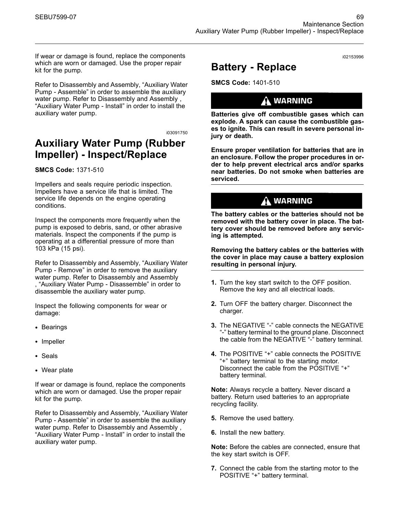If wear or damage is found, replace the components which are worn or damaged. Use the proper repair kit for the pump.

Refer to Disassembly and Assembly, "Auxiliary Water Pump - Assemble" in order to assemble the auxiliary water pump. Refer to Disassembly and Assembly , "Auxiliary Water Pump - Install" in order to install the auxiliary water pump.

i03091750

# **Auxiliary Water Pump (Rubber Impeller) - Inspect/Replace**

#### **SMCS Code:** 1371-510

Impellers and seals require periodic inspection. Impellers have a service life that is limited. The service life depends on the engine operating conditions.

Inspect the components more frequently when the pump is exposed to debris, sand, or other abrasive materials. Inspect the components if the pump is operating at a differential pressure of more than 103 kPa (15 psi).

Refer to Disassembly and Assembly, "Auxiliary Water Pump - Remove" in order to remove the auxiliary water pump. Refer to Disassembly and Assembly , "Auxiliary Water Pump - Disassemble" in order to disassemble the auxiliary water pump.

Inspect the following components for wear or damage:

- Bearings
- Impeller
- Seals
- Wear plate

If wear or damage is found, replace the components which are worn or damaged. Use the proper repair kit for the pump.

Refer to Disassembly and Assembly, "Auxiliary Water Pump - Assemble" in order to assemble the auxiliary water pump. Refer to Disassembly and Assembly , "Auxiliary Water Pump - Install" in order to install the auxiliary water pump.

i02153996

# **Battery - Replace**

**SMCS Code:** 1401-510

### $\Lambda$  warning

**Batteries give off combustible gases which can explode. A spark can cause the combustible gases to ignite. This can result in severe personal injury or death.**

**Ensure proper ventilation for batteries that are in an enclosure. Follow the proper procedures in order to help prevent electrical arcs and/or sparks near batteries. Do not smoke when batteries are serviced.**

### $\Lambda$  warning

**The battery cables or the batteries should not be removed with the battery cover in place. The battery cover should be removed before any servicing is attempted.**

**Removing the battery cables or the batteries with the cover in place may cause a battery explosion resulting in personal injury.**

- **1.** Turn the key start switch to the OFF position. Remove the key and all electrical loads.
- **2.** Turn OFF the battery charger. Disconnect the charger.
- **3.** The NEGATIVE "-" cable connects the NEGATIVE "-" battery terminal to the ground plane. Disconnect the cable from the NEGATIVE "-" battery terminal.
- **4.** The POSITIVE "+" cable connects the POSITIVE "+" battery terminal to the starting motor. Disconnect the cable from the POSITIVE "+" battery terminal.

**Note:** Always recycle a battery. Never discard a battery. Return used batteries to an appropriate recycling facility.

- **5.** Remove the used battery.
- **6.** Install the new battery.

**Note:** Before the cables are connected, ensure that the key start switch is OFF.

**7.** Connect the cable from the starting motor to the POSITIVE "+" battery terminal.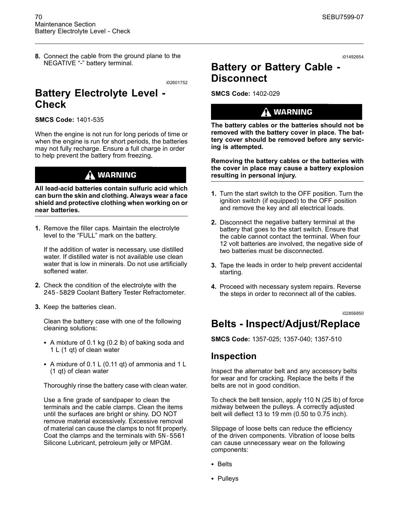**8.** Connect the cable from the ground plane to the NEGATIVE "-" battery terminal.

i02601752

# **Battery Electrolyte Level - Check**

**SMCS Code:** 1401-535

When the engine is not run for long periods of time or when the engine is run for short periods, the batteries may not fully recharge. Ensure a full charge in order to help prevent the battery from freezing.

### **WARNING**

**All lead-acid batteries contain sulfuric acid which can burn the skin and clothing. Always wear a face shield and protective clothing when working on or near batteries.**

**1.** Remove the filler caps. Maintain the electrolyte level to the "FULL" mark on the battery.

If the addition of water is necessary, use distilled water. If distilled water is not available use clean water that is low in minerals. Do not use artificially softened water.

- **2.** Check the condition of the electrolyte with the 245-5829 Coolant Battery Tester Refractometer.
- **3.** Keep the batteries clean.

Clean the battery case with one of the following cleaning solutions:

- A mixture of 0.1 kg (0.2 lb) of baking soda and 1 L (1 qt) of clean water
- A mixture of 0.1 L (0.11 qt) of ammonia and 1 L (1 qt) of clean water

Thoroughly rinse the battery case with clean water.

Use a fine grade of sandpaper to clean the terminals and the cable clamps. Clean the items until the surfaces are bright or shiny. DO NOT remove material excessively. Excessive removal of material can cause the clamps to not fit properly. Coat the clamps and the terminals with 5N-5561 Silicone Lubricant, petroleum jelly or MPGM.

i01492654

# **Battery or Battery Cable - Disconnect**

**SMCS Code:** 1402-029

### $\mathbf{\hat{A}}$  warning

**The battery cables or the batteries should not be removed with the battery cover in place. The battery cover should be removed before any servicing is attempted.**

**Removing the battery cables or the batteries with the cover in place may cause a battery explosion resulting in personal injury.**

- **1.** Turn the start switch to the OFF position. Turn the ignition switch (if equipped) to the OFF position and remove the key and all electrical loads.
- **2.** Disconnect the negative battery terminal at the battery that goes to the start switch. Ensure that the cable cannot contact the terminal. When four 12 volt batteries are involved, the negative side of two batteries must be disconnected.
- **3.** Tape the leads in order to help prevent accidental starting.
- **4.** Proceed with necessary system repairs. Reverse the steps in order to reconnect all of the cables.

i02856850

# **Belts - Inspect/Adjust/Replace**

**SMCS Code:** 1357-025; 1357-040; 1357-510

### **Inspection**

Inspect the alternator belt and any accessory belts for wear and for cracking. Replace the belts if the belts are not in good condition.

To check the belt tension, apply 110 N (25 lb) of force midway between the pulleys. A correctly adjusted belt will deflect 13 to 19 mm (0.50 to 0.75 inch).

Slippage of loose belts can reduce the efficiency of the driven components. Vibration of loose belts can cause unnecessary wear on the following components:

- Belts
- Pulleys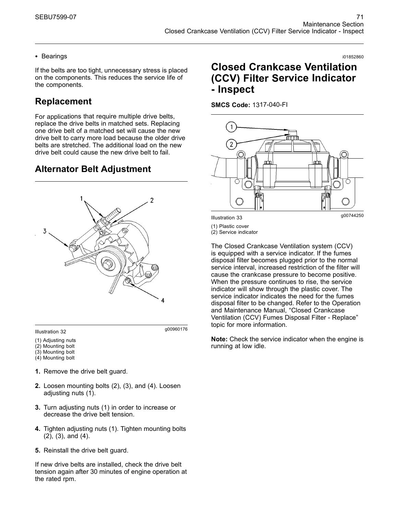#### • Bearings

If the belts are too tight, unnecessary stress is placed on the components. This reduces the service life of the components.

# **Replacement**

For applications that require multiple drive belts, replace the drive belts in matched sets. Replacing one drive belt of a matched set will cause the new drive belt to carry more load because the older drive belts are stretched. The additional load on the new drive belt could cause the new drive belt to fail.

# **Alternator Belt Adjustment**



g00960176 Illustration 32

- (1) Adjusting nuts
- (2) Mounting bolt
- (3) Mounting bolt
- (4) Mounting bolt
- **1.** Remove the drive belt guard.
- **2.** Loosen mounting bolts (2), (3), and (4). Loosen adjusting nuts (1).
- **3.** Turn adjusting nuts (1) in order to increase or decrease the drive belt tension.
- **4.** Tighten adjusting nuts (1). Tighten mounting bolts (2), (3), and (4).
- **5.** Reinstall the drive belt guard.

If new drive belts are installed, check the drive belt tension again after 30 minutes of engine operation at the rated rpm.

# **Closed Crankcase Ventilation (CCV) Filter Service Indicator - Inspect**

i01852860

**SMCS Code:** 1317-040-FI



(1) Plastic cover

(2) Service indicator

The Closed Crankcase Ventilation system (CCV) is equipped with a service indicator. If the fumes disposal filter becomes plugged prior to the normal service interval, increased restriction of the filter will cause the crankcase pressure to become positive. When the pressure continues to rise, the service indicator will show through the plastic cover. The service indicator indicates the need for the fumes disposal filter to be changed. Refer to the Operation and Maintenance Manual, "Closed Crankcase Ventilation (CCV) Fumes Disposal Filter - Replace" topic for more information.

**Note:** Check the service indicator when the engine is running at low idle.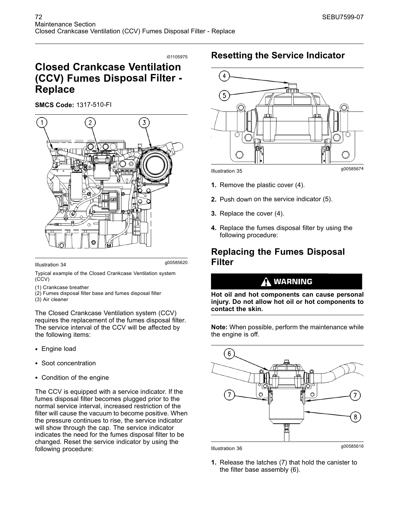# **Closed Crankcase Ventilation (CCV) Fumes Disposal Filter - Replace**

**SMCS Code:** 1317-510-FI



g00585620 Illustration 34

Typical example of the Closed Crankcase Ventilation system (CCV)

- (1) Crankcase breather
- (2) Fumes disposal filter base and fumes disposal filter
- (3) Air cleaner

The Closed Crankcase Ventilation system (CCV) requires the replacement of the fumes disposal filter. The service interval of the CCV will be affected by the following items:

- Engine load
- Soot concentration
- Condition of the engine

The CCV is equipped with a service indicator. If the fumes disposal filter becomes plugged prior to the normal service interval, increased restriction of the filter will cause the vacuum to become positive. When the pressure continues to rise, the service indicator will show through the cap. The service indicator indicates the need for the fumes disposal filter to be changed. Reset the service indicator by using the following procedure:

# **Resetting the Service Indicator**



- **1.** Remove the plastic cover (4).
- **2.** Push down on the service indicator (5).
- **3.** Replace the cover (4).
- **4.** Replace the fumes disposal filter by using the following procedure:

# **Replacing the Fumes Disposal Filter**

### **WARNING**

**Hot oil and hot components can cause personal injury. Do not allow hot oil or hot components to contact the skin.**

**Note:** When possible, perform the maintenance while the engine is off.



**1.** Release the latches (7) that hold the canister to the filter base assembly (6).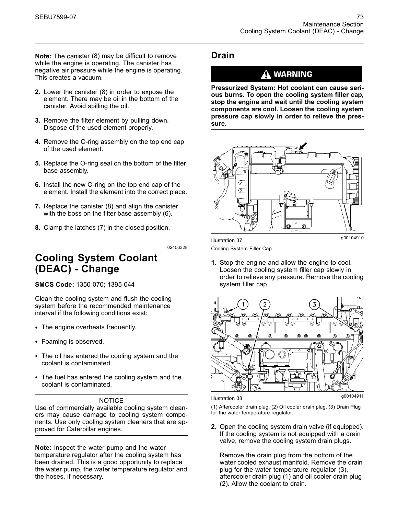**Note:** The canister (8) may be difficult to remove while the engine is operating. The canister has negative air pressure while the engine is operating. This creates a vacuum.

- **2.** Lower the canister (8) in order to expose the element. There may be oil in the bottom of the canister. Avoid spilling the oil.
- **3.** Remove the filter element by pulling down. Dispose of the used element properly.
- **4.** Remove the O-ring assembly on the top end cap of the used element.
- **5.** Replace the O-ring seal on the bottom of the filter base assembly.
- **6.** Install the new O-ring on the top end cap of the element. Install the element into the correct place.
- **7.** Replace the canister (8) and align the canister with the boss on the filter base assembly (6).
- **8.** Clamp the latches (7) in the closed position.

i02456328

# **Cooling System Coolant (DEAC) - Change**

**SMCS Code:** 1350-070; 1395-044

Clean the cooling system and flush the cooling system before the recommended maintenance interval if the following conditions exist:

- The engine overheats frequently.
- Foaming is observed.
- The oil has entered the cooling system and the coolant is contaminated.
- The fuel has entered the cooling system and the coolant is contaminated.

#### NOTICE

Use of commercially available cooling system cleaners may cause damage to cooling system components. Use only cooling system cleaners that are approved for Caterpillar engines.

**Note:** Inspect the water pump and the water temperature regulator after the cooling system has been drained. This is a good opportunity to replace the water pump, the water temperature regulator and the hoses, if necessary.

### **Drain**

### A WARNING

**Pressurized System: Hot coolant can cause serious burns. To open the cooling system filler cap, stop the engine and wait until the cooling system components are cool. Loosen the cooling system pressure cap slowly in order to relieve the pressure.**



Cooling System Filler Cap

**1.** Stop the engine and allow the engine to cool. Loosen the cooling system filler cap slowly in order to relieve any pressure. Remove the cooling system filler cap.



(1) Aftercooler drain plug. (2) Oil cooler drain plug. (3) Drain Plug for the water temperature regulator.

**2.** Open the cooling system drain valve (if equipped). If the cooling system is not equipped with a drain valve, remove the cooling system drain plugs.

Remove the drain plug from the bottom of the water cooled exhaust manifold. Remove the drain plug for the water temperature regulator (3), aftercooler drain plug (1) and oil cooler drain plug (2). Allow the coolant to drain.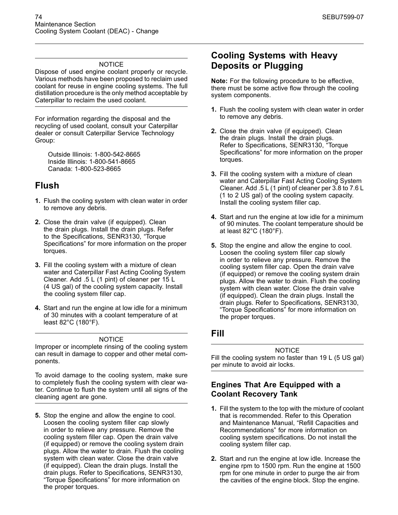#### **NOTICE**

Dispose of used engine coolant properly or recycle. Various methods have been proposed to reclaim used coolant for reuse in engine cooling systems. The full distillation procedure is the only method acceptable by Caterpillar to reclaim the used coolant.

For information regarding the disposal and the recycling of used coolant, consult your Caterpillar dealer or consult Caterpillar Service Technology Group:

Outside Illinois: 1-800-542-8665 Inside Illinois: 1-800-541-8665 Canada: 1-800-523-8665

# **Flush**

- **1.** Flush the cooling system with clean water in order to remove any debris.
- **2.** Close the drain valve (if equipped). Clean the drain plugs. Install the drain plugs. Refer to the Specifications, SENR3130, "Torque Specifications" for more information on the proper torques.
- **3.** Fill the cooling system with a mixture of clean water and Caterpillar Fast Acting Cooling System Cleaner. Add .5 L (1 pint) of cleaner per 15 L (4 US gal) of the cooling system capacity. Install the cooling system filler cap.
- **4.** Start and run the engine at low idle for a minimum of 30 minutes with a coolant temperature of at least 82°C (180°F).

#### **NOTICE**

Improper or incomplete rinsing of the cooling system can result in damage to copper and other metal components.

To avoid damage to the cooling system, make sure to completely flush the cooling system with clear water. Continue to flush the system until all signs of the cleaning agent are gone.

**5.** Stop the engine and allow the engine to cool. Loosen the cooling system filler cap slowly in order to relieve any pressure. Remove the cooling system filler cap. Open the drain valve (if equipped) or remove the cooling system drain plugs. Allow the water to drain. Flush the cooling system with clean water. Close the drain valve (if equipped). Clean the drain plugs. Install the drain plugs. Refer to Specifications, SENR3130, "Torque Specifications" for more information on the proper torques.

# **Cooling Systems with Heavy Deposits or Plugging**

**Note:** For the following procedure to be effective, there must be some active flow through the cooling system components.

- **1.** Flush the cooling system with clean water in order to remove any debris.
- **2.** Close the drain valve (if equipped). Clean the drain plugs. Install the drain plugs. Refer to Specifications, SENR3130, "Torque Specifications" for more information on the proper torques.
- **3.** Fill the cooling system with a mixture of clean water and Caterpillar Fast Acting Cooling System Cleaner. Add .5 L (1 pint) of cleaner per 3.8 to 7.6 L (1 to 2 US gal) of the cooling system capacity. Install the cooling system filler cap.
- **4.** Start and run the engine at low idle for a minimum of 90 minutes. The coolant temperature should be at least 82°C (180°F).
- **5.** Stop the engine and allow the engine to cool. Loosen the cooling system filler cap slowly in order to relieve any pressure. Remove the cooling system filler cap. Open the drain valve (if equipped) or remove the cooling system drain plugs. Allow the water to drain. Flush the cooling system with clean water. Close the drain valve (if equipped). Clean the drain plugs. Install the drain plugs. Refer to Specifications, SENR3130, "Torque Specifications" for more information on the proper torques.

### **Fill**

**NOTICE** Fill the cooling system no faster than 19 L (5 US gal) per minute to avoid air locks.

#### **Engines That Are Equipped with a Coolant Recovery Tank**

- **1.** Fill the system to the top with the mixture of coolant that is recommended. Refer to this Operation and Maintenance Manual, "Refill Capacities and Recommendations" for more information on cooling system specifications. Do not install the cooling system filler cap.
- **2.** Start and run the engine at low idle. Increase the engine rpm to 1500 rpm. Run the engine at 1500 rpm for one minute in order to purge the air from the cavities of the engine block. Stop the engine.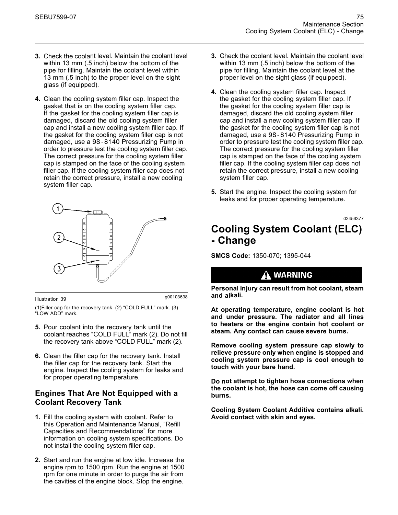- **3.** Check the coolant level. Maintain the coolant level within 13 mm (.5 inch) below the bottom of the pipe for filling. Maintain the coolant level within 13 mm (.5 inch) to the proper level on the sight glass (if equipped).
- **4.** Clean the cooling system filler cap. Inspect the gasket that is on the cooling system filler cap. If the gasket for the cooling system filler cap is damaged, discard the old cooling system filler cap and install a new cooling system filler cap. If the gasket for the cooling system filler cap is not damaged, use a 9S-8140 Pressurizing Pump in order to pressure test the cooling system filler cap. The correct pressure for the cooling system filler cap is stamped on the face of the cooling system filler cap. If the cooling system filler cap does not retain the correct pressure, install a new cooling system filler cap.



#### g00103638 Illustration 39

(1)Filler cap for the recovery tank. (2) "COLD FULL" mark. (3) "LOW ADD" mark.

- **5.** Pour coolant into the recovery tank until the coolant reaches "COLD FULL" mark (2). Do not fill the recovery tank above "COLD FULL" mark (2).
- **6.** Clean the filler cap for the recovery tank. Install the filler cap for the recovery tank. Start the engine. Inspect the cooling system for leaks and for proper operating temperature.

#### **Engines That Are Not Equipped with a Coolant Recovery Tank**

- **1.** Fill the cooling system with coolant. Refer to this Operation and Maintenance Manual, "Refill Capacities and Recommendations" for more information on cooling system specifications. Do not install the cooling system filler cap.
- **2.** Start and run the engine at low idle. Increase the engine rpm to 1500 rpm. Run the engine at 1500 rpm for one minute in order to purge the air from the cavities of the engine block. Stop the engine.
- **3.** Check the coolant level. Maintain the coolant level within 13 mm (.5 inch) below the bottom of the pipe for filling. Maintain the coolant level at the proper level on the sight glass (if equipped).
- **4.** Clean the cooling system filler cap. Inspect the gasket for the cooling system filler cap. If the gasket for the cooling system filler cap is damaged, discard the old cooling system filler cap and install a new cooling system filler cap. If the gasket for the cooling system filler cap is not damaged, use a 9S-8140 Pressurizing Pump in order to pressure test the cooling system filler cap. The correct pressure for the cooling system filler cap is stamped on the face of the cooling system filler cap. If the cooling system filler cap does not retain the correct pressure, install a new cooling system filler cap.
- **5.** Start the engine. Inspect the cooling system for leaks and for proper operating temperature.

### i02456377 **Cooling System Coolant (ELC) - Change**

**SMCS Code:** 1350-070; 1395-044

### A WARNING

**Personal injury can result from hot coolant, steam and alkali.**

**At operating temperature, engine coolant is hot and under pressure. The radiator and all lines to heaters or the engine contain hot coolant or steam. Any contact can cause severe burns.**

**Remove cooling system pressure cap slowly to relieve pressure only when engine is stopped and cooling system pressure cap is cool enough to touch with your bare hand.**

**Do not attempt to tighten hose connections when the coolant is hot, the hose can come off causing burns.**

**Cooling System Coolant Additive contains alkali. Avoid contact with skin and eyes.**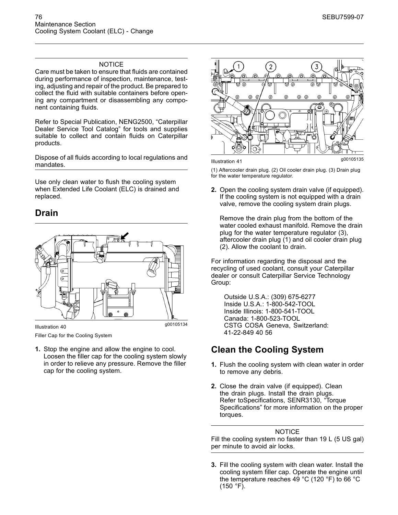#### NOTICE

Care must be taken to ensure that fluids are contained during performance of inspection, maintenance, testing, adjusting and repair of the product. Be prepared to collect the fluid with suitable containers before opening any compartment or disassembling any component containing fluids.

Refer to Special Publication, NENG2500, "Caterpillar Dealer Service Tool Catalog" for tools and supplies suitable to collect and contain fluids on Caterpillar products.

Dispose of all fluids according to local regulations and mandates.

Use only clean water to flush the cooling system when Extended Life Coolant (ELC) is drained and replaced.

### **Drain**



Filler Cap for the Cooling System

**1.** Stop the engine and allow the engine to cool. Loosen the filler cap for the cooling system slowly in order to relieve any pressure. Remove the filler cap for the cooling system.



(1) Aftercooler drain plug. (2) Oil cooler drain plug. (3) Drain plug for the water temperature regulator.

**2.** Open the cooling system drain valve (if equipped). If the cooling system is not equipped with a drain valve, remove the cooling system drain plugs.

Remove the drain plug from the bottom of the water cooled exhaust manifold. Remove the drain plug for the water temperature regulator (3), aftercooler drain plug (1) and oil cooler drain plug (2). Allow the coolant to drain.

For information regarding the disposal and the recycling of used coolant, consult your Caterpillar dealer or consult Caterpillar Service Technology Group:

Outside U.S.A.: (309) 675-6277 Inside U.S.A.: 1-800-542-TOOL Inside Illinois: 1-800-541-TOOL Canada: 1-800-523-TOOL CSTG COSA Geneva, Switzerland: 41-22-849 40 56

# **Clean the Cooling System**

- **1.** Flush the cooling system with clean water in order to remove any debris.
- **2.** Close the drain valve (if equipped). Clean the drain plugs. Install the drain plugs. Refer toSpecifications, SENR3130, "Torque Specifications" for more information on the proper torques.

#### NOTICE Fill the cooling system no faster than 19 L (5 US gal) per minute to avoid air locks.

**3.** Fill the cooling system with clean water. Install the cooling system filler cap. Operate the engine until the temperature reaches 49 °C (120 °F) to 66 °C (150 °F).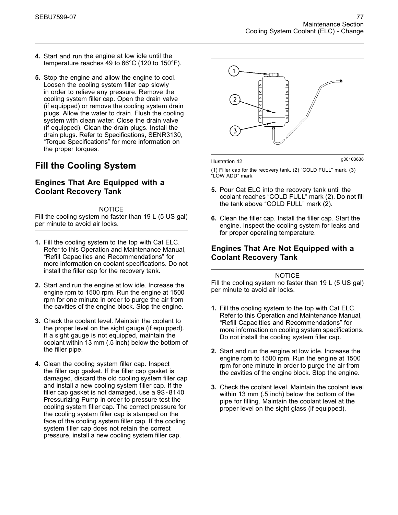- **4.** Start and run the engine at low idle until the temperature reaches 49 to 66°C (120 to 150°F).
- **5.** Stop the engine and allow the engine to cool. Loosen the cooling system filler cap slowly in order to relieve any pressure. Remove the cooling system filler cap. Open the drain valve (if equipped) or remove the cooling system drain plugs. Allow the water to drain. Flush the cooling system with clean water. Close the drain valve (if equipped). Clean the drain plugs. Install the drain plugs. Refer to Specifications, SENR3130, "Torque Specifications" for more information on the proper torques.

# **Fill the Cooling System**

#### **Engines That Are Equipped with a Coolant Recovery Tank**

NOTICE

Fill the cooling system no faster than 19 L (5 US gal) per minute to avoid air locks.

- **1.** Fill the cooling system to the top with Cat ELC. Refer to this Operation and Maintenance Manual, "Refill Capacities and Recommendations" for more information on coolant specifications. Do not install the filler cap for the recovery tank.
- **2.** Start and run the engine at low idle. Increase the engine rpm to 1500 rpm. Run the engine at 1500 rpm for one minute in order to purge the air from the cavities of the engine block. Stop the engine.
- **3.** Check the coolant level. Maintain the coolant to the proper level on the sight gauge (if equipped). If a sight gauge is not equipped, maintain the coolant within 13 mm (.5 inch) below the bottom of the filler pipe.
- **4.** Clean the cooling system filler cap. Inspect the filler cap gasket. If the filler cap gasket is damaged, discard the old cooling system filler cap and install a new cooling system filler cap. If the filler cap gasket is not damaged, use a 9S-8140 Pressurizing Pump in order to pressure test the cooling system filler cap. The correct pressure for the cooling system filler cap is stamped on the face of the cooling system filler cap. If the cooling system filler cap does not retain the correct pressure, install a new cooling system filler cap.



g00103638 Illustration 42

(1) Filler cap for the recovery tank. (2) "COLD FULL" mark. (3) "LOW ADD" mark.

- **5.** Pour Cat ELC into the recovery tank until the coolant reaches "COLD FULL" mark (2). Do not fill the tank above "COLD FULL" mark (2).
- **6.** Clean the filler cap. Install the filler cap. Start the engine. Inspect the cooling system for leaks and for proper operating temperature.

#### **Engines That Are Not Equipped with a Coolant Recovery Tank**

#### **NOTICE**

Fill the cooling system no faster than 19 L (5 US gal) per minute to avoid air locks.

- **1.** Fill the cooling system to the top with Cat ELC. Refer to this Operation and Maintenance Manual, "Refill Capacitties and Recommendations" for more information on cooling system specifications. Do not install the cooling system filler cap.
- **2.** Start and run the engine at low idle. Increase the engine rpm to 1500 rpm. Run the engine at 1500 rpm for one minute in order to purge the air from the cavities of the engine block. Stop the engine.
- **3.** Check the coolant level. Maintain the coolant level within 13 mm (.5 inch) below the bottom of the pipe for filling. Maintain the coolant level at the proper level on the sight glass (if equipped).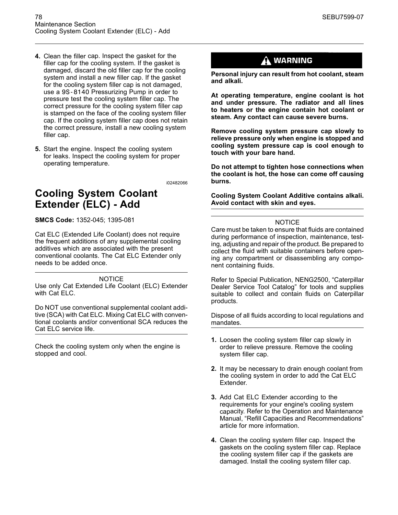- **4.** Clean the filler cap. Inspect the gasket for the filler cap for the cooling system. If the gasket is damaged, discard the old filler cap for the cooling system and install a new filler cap. If the gasket for the cooling system filler cap is not damaged, use a 9S-8140 Pressurizing Pump in order to pressure test the cooling system filler cap. The correct pressure for the cooling system filler cap is stamped on the face of the cooling system filler cap. If the cooling system filler cap does not retain the correct pressure, install a new cooling system filler cap.
- **5.** Start the engine. Inspect the cooling system for leaks. Inspect the cooling system for proper operating temperature.

# **Cooling System Coolant Extender (ELC) - Add**

**SMCS Code:** 1352-045; 1395-081

Cat ELC (Extended Life Coolant) does not require the frequent additions of any supplemental cooling additives which are associated with the present conventional coolants. The Cat ELC Extender only needs to be added once.

#### **NOTICE**

Use only Cat Extended Life Coolant (ELC) Extender with Cat ELC.

Do NOT use conventional supplemental coolant additive (SCA) with Cat ELC. Mixing Cat ELC with conventional coolants and/or conventional SCA reduces the Cat ELC service life.

Check the cooling system only when the engine is stopped and cool.

### A WARNING

**Personal injury can result from hot coolant, steam and alkali.**

**At operating temperature, engine coolant is hot and under pressure. The radiator and all lines to heaters or the engine contain hot coolant or steam. Any contact can cause severe burns.**

**Remove cooling system pressure cap slowly to relieve pressure only when engine is stopped and cooling system pressure cap is cool enough to touch with your bare hand.**

**Do not attempt to tighten hose connections when the coolant is hot, the hose can come off causing burns.**

**Cooling System Coolant Additive contains alkali. Avoid contact with skin and eyes.**

#### **NOTICE**

Care must be taken to ensure that fluids are contained during performance of inspection, maintenance, testing, adjusting and repair of the product. Be prepared to collect the fluid with suitable containers before opening any compartment or disassembling any component containing fluids.

Refer to Special Publication, NENG2500, "Caterpillar Dealer Service Tool Catalog" for tools and supplies suitable to collect and contain fluids on Caterpillar products.

Dispose of all fluids according to local regulations and mandates.

- **1.** Loosen the cooling system filler cap slowly in order to relieve pressure. Remove the cooling system filler cap.
- **2.** It may be necessary to drain enough coolant from the cooling system in order to add the Cat ELC Extender.
- **3.** Add Cat ELC Extender according to the requirements for your engine's cooling system capacity. Refer to the Operation and Maintenance Manual, "Refill Capacities and Recommendations" article for more information.
- **4.** Clean the cooling system filler cap. Inspect the gaskets on the cooling system filler cap. Replace the cooling system filler cap if the gaskets are damaged. Install the cooling system filler cap.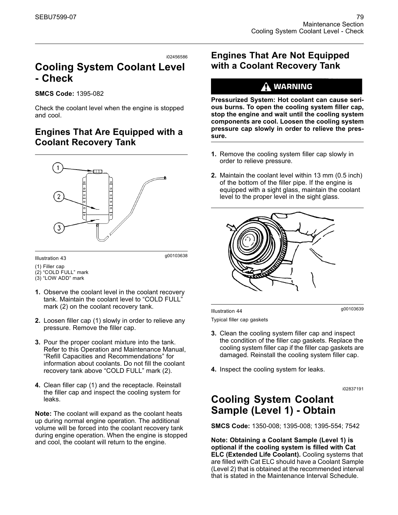# **Cooling System Coolant Level - Check**

#### **SMCS Code:** 1395-082

Check the coolant level when the engine is stopped and cool.

# **Engines That Are Equipped with a Coolant Recovery Tank**



g00103638 Illustration 43

- (1) Filler cap (2) "COLD FULL" mark
- (3) "LOW ADD" mark
- **1.** Observe the coolant level in the coolant recovery tank. Maintain the coolant level to "COLD FULL" mark (2) on the coolant recovery tank.
- **2.** Loosen filler cap (1) slowly in order to relieve any pressure. Remove the filler cap.
- **3.** Pour the proper coolant mixture into the tank. Refer to this Operation and Maintenance Manual, "Refill Capacities and Recommendations" for information about coolants. Do not fill the coolant recovery tank above "COLD FULL" mark (2).
- **4.** Clean filler cap (1) and the receptacle. Reinstall the filler cap and inspect the cooling system for leaks.

**Note:** The coolant will expand as the coolant heats up during normal engine operation. The additional volume will be forced into the coolant recovery tank during engine operation. When the engine is stopped and cool, the coolant will return to the engine.

### **Engines That Are Not Equipped with a Coolant Recovery Tank**

### **WARNING**

**Pressurized System: Hot coolant can cause serious burns. To open the cooling system filler cap, stop the engine and wait until the cooling system components are cool. Loosen the cooling system pressure cap slowly in order to relieve the pressure.**

- **1.** Remove the cooling system filler cap slowly in order to relieve pressure.
- **2.** Maintain the coolant level within 13 mm (0.5 inch) of the bottom of the filler pipe. If the engine is equipped with a sight glass, maintain the coolant level to the proper level in the sight glass.



g00103639 Illustration 44 Typical filler cap gaskets

- **3.** Clean the cooling system filler cap and inspect the condition of the filler cap gaskets. Replace the cooling system filler cap if the filler cap gaskets are damaged. Reinstall the cooling system filler cap.
- **4.** Inspect the cooling system for leaks.

i02837191

# **Cooling System Coolant Sample (Level 1) - Obtain**

**SMCS Code:** 1350-008; 1395-008; 1395-554; 7542

**Note: Obtaining a Coolant Sample (Level 1) is optional if the cooling system is filled with Cat ELC (Extended Life Coolant).** Cooling systems that are filled with Cat ELC should have a Coolant Sample (Level 2) that is obtained at the recommended interval that is stated in the Maintenance Interval Schedule.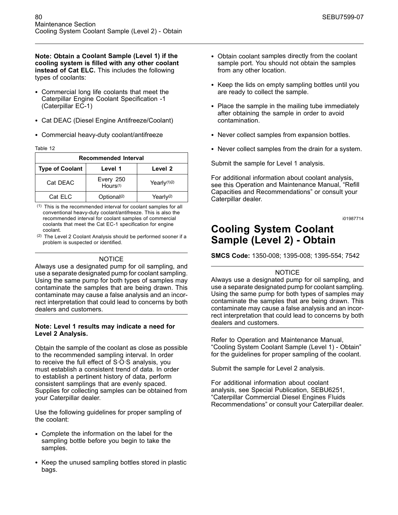**Note: Obtain a Coolant Sample (Level 1) if the cooling system is filled with any other coolant instead of Cat ELC.** This includes the following types of coolants:

- Commercial long life coolants that meet the Caterpillar Engine Coolant Specification -1 (Caterpillar EC-1)
- Cat DEAC (Diesel Engine Antifreeze/Coolant)
- Commercial heavy-duty coolant/antifreeze

Table 12

| <b>Recommended Interval</b>                  |                                   |                          |
|----------------------------------------------|-----------------------------------|--------------------------|
| Level 1<br>Level 2<br><b>Type of Coolant</b> |                                   |                          |
| Cat DEAC                                     | Every 250<br>Hours <sup>(1)</sup> | Yearly <sup>(1)(2)</sup> |
| Cat ELC                                      | Optional <sup>(2)</sup>           | Yearly <sup>(2)</sup>    |

(1) This is the recommended interval for coolant samples for all conventional heavy-duty coolant/antifreeze. This is also the recommended interval for coolant samples of commercial coolants that meet the Cat EC-1 specification for engine coolant.

(2) The Level 2 Coolant Analysis should be performed sooner if a problem is suspected or identified.

#### **NOTICE**

Always use a designated pump for oil sampling, and use a separate designated pump for coolant sampling. Using the same pump for both types of samples may contaminate the samples that are being drawn. This contaminate may cause a false analysis and an incorrect interpretation that could lead to concerns by both dealers and customers.

#### **Note: Level 1 results may indicate a need for Level 2 Analysis.**

Obtain the sample of the coolant as close as possible to the recommended sampling interval. In order to receive the full effect of S·O·S analysis, you must establish a consistent trend of data. In order to establish a pertinent history of data, perform consistent samplings that are evenly spaced. Supplies for collecting samples can be obtained from your Caterpillar dealer.

Use the following guidelines for proper sampling of the coolant:

- Complete the information on the label for the sampling bottle before you begin to take the samples.
- Keep the unused sampling bottles stored in plastic bags.
- Obtain coolant samples directly from the coolant sample port. You should not obtain the samples from any other location.
- Keep the lids on empty sampling bottles until you are ready to collect the sample.
- Place the sample in the mailing tube immediately after obtaining the sample in order to avoid contamination.
- Never collect samples from expansion bottles.
- Never collect samples from the drain for a system.

Submit the sample for Level 1 analysis.

For additional information about coolant analysis, see this Operation and Maintenance Manual, "Refill Capacities and Recommendations" or consult your Caterpillar dealer.

i01987714

# **Cooling System Coolant Sample (Level 2) - Obtain**

**SMCS Code:** 1350-008; 1395-008; 1395-554; 7542

#### **NOTICE**

Always use a designated pump for oil sampling, and use a separate designated pump for coolant sampling. Using the same pump for both types of samples may contaminate the samples that are being drawn. This contaminate may cause a false analysis and an incorrect interpretation that could lead to concerns by both dealers and customers.

Refer to Operation and Maintenance Manual, "Cooling System Coolant Sample (Level 1) - Obtain" for the guidelines for proper sampling of the coolant.

Submit the sample for Level 2 analysis.

For additional information about coolant analysis, see Special Publication, SEBU6251, "Caterpillar Commercial Diesel Engines Fluids Recommendations" or consult your Caterpillar dealer.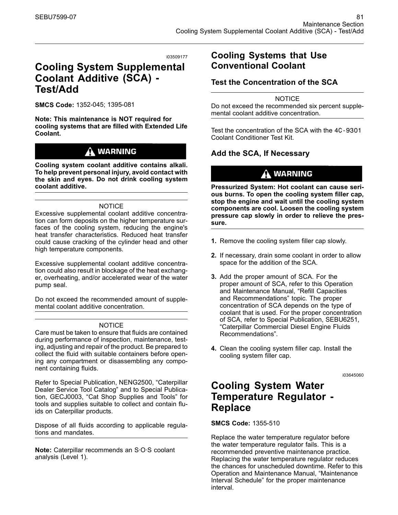# **Cooling System Supplemental Coolant Additive (SCA) - Test/Add**

**SMCS Code:** 1352-045; 1395-081

**Note: This maintenance is NOT required for cooling systems that are filled with Extended Life Coolant.**

# $\Lambda$  warning

**Cooling system coolant additive contains alkali. To help prevent personal injury, avoid contact with the skin and eyes. Do not drink cooling system coolant additive.**

#### **NOTICE**

Excessive supplemental coolant additive concentration can form deposits on the higher temperature surfaces of the cooling system, reducing the engine's heat transfer characteristics. Reduced heat transfer could cause cracking of the cylinder head and other high temperature components.

Excessive supplemental coolant additive concentration could also result in blockage of the heat exchanger, overheating, and/or accelerated wear of the water pump seal.

Do not exceed the recommended amount of supplemental coolant additive concentration.

#### **NOTICE**

Care must be taken to ensure that fluids are contained during performance of inspection, maintenance, testing, adjusting and repair of the product. Be prepared to collect the fluid with suitable containers before opening any compartment or disassembling any component containing fluids.

Refer to Special Publication, NENG2500, "Caterpillar Dealer Service Tool Catalog" and to Special Publication, GECJ0003, "Cat Shop Supplies and Tools" for tools and supplies suitable to collect and contain fluids on Caterpillar products.

Dispose of all fluids according to applicable regulations and mandates.

**Note:** Caterpillar recommends an S·O·S coolant analysis (Level 1).

### **Cooling Systems that Use Conventional Coolant**

### **Test the Concentration of the SCA**

**NOTICE** Do not exceed the recommended six percent supplemental coolant additive concentration.

Test the concentration of the SCA with the 4C-9301 Coolant Conditioner Test Kit.

### **Add the SCA, If Necessary**

# $\Lambda$  warning

**Pressurized System: Hot coolant can cause serious burns. To open the cooling system filler cap, stop the engine and wait until the cooling system components are cool. Loosen the cooling system pressure cap slowly in order to relieve the pressure.**

- **1.** Remove the cooling system filler cap slowly.
- **2.** If necessary, drain some coolant in order to allow space for the addition of the SCA.
- **3.** Add the proper amount of SCA. For the proper amount of SCA, refer to this Operation and Maintenance Manual, "Refill Capacities and Recommendations" topic. The proper concentration of SCA depends on the type of coolant that is used. For the proper concentration of SCA, refer to Special Publication, SEBU6251, "Caterpillar Commercial Diesel Engine Fluids Recommendations".
- **4.** Clean the cooling system filler cap. Install the cooling system filler cap.

i03645060

# **Cooling System Water Temperature Regulator - Replace**

**SMCS Code:** 1355-510

Replace the water temperature regulator before the water temperature regulator fails. This is a recommended preventive maintenance practice. Replacing the water temperature regulator reduces the chances for unscheduled downtime. Refer to this Operation and Maintenance Manual, "Maintenance Interval Schedule" for the proper maintenance interval.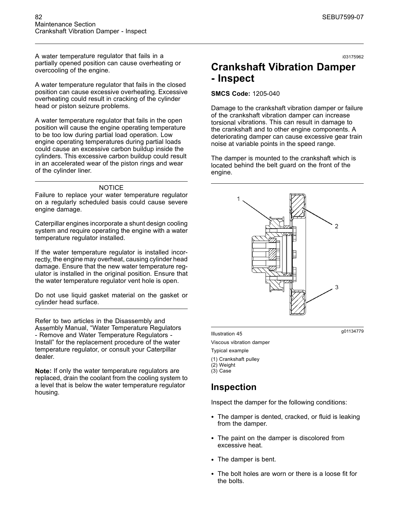A water temperature regulator that fails in a partially opened position can cause overheating or overcooling of the engine.

A water temperature regulator that fails in the closed position can cause excessive overheating. Excessive overheating could result in cracking of the cylinder head or piston seizure problems.

A water temperature regulator that fails in the open position will cause the engine operating temperature to be too low during partial load operation. Low engine operating temperatures during partial loads could cause an excessive carbon buildup inside the cylinders. This excessive carbon buildup could result in an accelerated wear of the piston rings and wear of the cylinder liner.

#### NOTICE

Failure to replace your water temperature regulator on a regularly scheduled basis could cause severe engine damage.

Caterpillar engines incorporate a shunt design cooling system and require operating the engine with a water temperature regulator installed.

If the water temperature regulator is installed incorrectly, the engine may overheat, causing cylinder head damage. Ensure that the new water temperature regulator is installed in the original position. Ensure that the water temperature regulator vent hole is open.

Do not use liquid gasket material on the gasket or cylinder head surface.

Refer to two articles in the Disassembly and Assembly Manual, "Water Temperature Regulators - Remove and Water Temperature Regulators - Install" for the replacement procedure of the water temperature regulator, or consult your Caterpillar dealer.

**Note:** If only the water temperature regulators are replaced, drain the coolant from the cooling system to a level that is below the water temperature regulator housing.

i03175962

# **Crankshaft Vibration Damper - Inspect**

#### **SMCS Code:** 1205-040

Damage to the crankshaft vibration damper or failure of the crankshaft vibration damper can increase torsional vibrations. This can result in damage to the crankshaft and to other engine components. A deteriorating damper can cause excessive gear train noise at variable points in the speed range.

The damper is mounted to the crankshaft which is located behind the belt guard on the front of the engine.



g01134779 Illustration 45

Viscous vibration damper

Typical example

- (1) Crankshaft pulley
- (2) Weight
- (3) Case

### **Inspection**

Inspect the damper for the following conditions:

- The damper is dented, cracked, or fluid is leaking from the damper.
- The paint on the damper is discolored from excessive heat.
- The damper is bent.
- The bolt holes are worn or there is a loose fit for the bolts.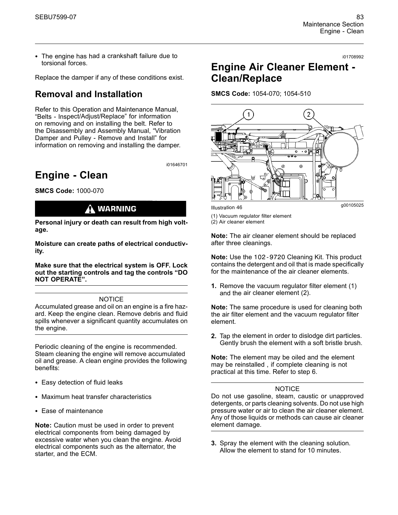• The engine has had a crankshaft failure due to torsional forces.

Replace the damper if any of these conditions exist.

# **Removal and Installation**

Refer to this Operation and Maintenance Manual, "Belts - Inspect/Adjust/Replace" for information on removing and on installing the belt. Refer to the Disassembly and Assembly Manual, "Vibration Damper and Pulley - Remove and Install" for information on removing and installing the damper.

i01646701

# **Engine - Clean**

**SMCS Code:** 1000-070

# **WARNING**

**Personal injury or death can result from high voltage.**

**Moisture can create paths of electrical conductivity.**

**Make sure that the electrical system is OFF. Lock out the starting controls and tag the controls "DO NOT OPERATE".**

#### **NOTICE**

Accumulated grease and oil on an engine is a fire hazard. Keep the engine clean. Remove debris and fluid spills whenever a significant quantity accumulates on the engine.

Periodic cleaning of the engine is recommended. Steam cleaning the engine will remove accumulated oil and grease. A clean engine provides the following benefits:

- Easy detection of fluid leaks
- Maximum heat transfer characteristics
- Ease of maintenance

**Note:** Caution must be used in order to prevent electrical components from being damaged by excessive water when you clean the engine. Avoid electrical components such as the alternator, the starter, and the ECM.

#### i01708992

# **Engine Air Cleaner Element - Clean/Replace**

**SMCS Code:** 1054-070; 1054-510



- (1) Vacuum regulator filter element
- (2) Air cleaner element

**Note:** The air cleaner element should be replaced after three cleanings.

**Note:** Use the 102-9720 Cleaning Kit. This product contains the detergent and oil that is made specifically for the maintenance of the air cleaner elements.

**1.** Remove the vacuum regulator filter element (1) and the air cleaner element (2).

**Note:** The same procedure is used for cleaning both the air filter element and the vacuum regulator filter element.

**2.** Tap the element in order to dislodge dirt particles. Gently brush the element with a soft bristle brush.

**Note:** The element may be oiled and the element may be reinstalled , if complete cleaning is not practical at this time. Refer to step 6.

#### **NOTICE**

Do not use gasoline, steam, caustic or unapproved detergents, or parts cleaning solvents. Do not use high pressure water or air to clean the air cleaner element. Any of those liquids or methods can cause air cleaner element damage.

**3.** Spray the element with the cleaning solution. Allow the element to stand for 10 minutes.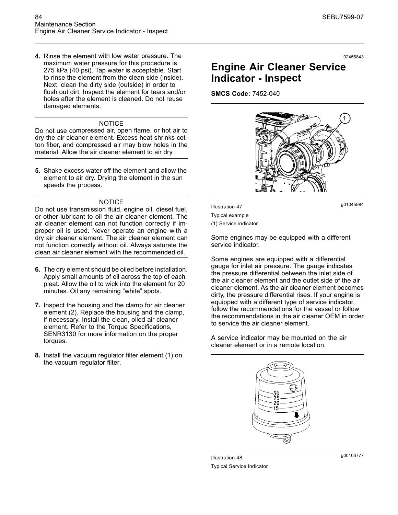**4.** Rinse the element with low water pressure. The maximum water pressure for this procedure is 275 kPa (40 psi). Tap water is acceptable. Start to rinse the element from the clean side (inside). Next, clean the dirty side (outside) in order to flush out dirt. Inspect the element for tears and/or holes after the element is cleaned. Do not reuse damaged elements.

#### **NOTICE**

Do not use compressed air, open flame, or hot air to dry the air cleaner element. Excess heat shrinks cotton fiber, and compressed air may blow holes in the material. Allow the air cleaner element to air dry.

**5.** Shake excess water off the element and allow the element to air dry. Drying the element in the sun speeds the process.

#### **NOTICE**

Do not use transmission fluid, engine oil, diesel fuel, or other lubricant to oil the air cleaner element. The air cleaner element can not function correctly if improper oil is used. Never operate an engine with a dry air cleaner element. The air cleaner element can not function correctly without oil. Always saturate the clean air cleaner element with the recommended oil.

- **6.** The dry element should be oiled before installation. Apply small amounts of oil across the top of each pleat. Allow the oil to wick into the element for 20 minutes. Oil any remaining "white" spots.
- **7.** Inspect the housing and the clamp for air cleaner element (2). Replace the housing and the clamp, if necessary. Install the clean, oiled air cleaner element. Refer to the Torque Specifications, SENR3130 for more information on the proper torques.
- **8.** Install the vacuum regulator filter element (1) on the vacuum regulator filter.

# **Engine Air Cleaner Service Indicator - Inspect**

**SMCS Code:** 7452-040

 $\mathbf{1}$ 

g01045984 Illustration 47 Typical example

(1) Service indicator

Some engines may be equipped with a different service indicator.

Some engines are equipped with a differential gauge for inlet air pressure. The gauge indicates the pressure differential between the inlet side of the air cleaner element and the outlet side of the air cleaner element. As the air cleaner element becomes dirty, the pressure differential rises. If your engine is equipped with a different type of service indicator, follow the recommendations for the vessel or follow the recommendations in the air cleaner OEM in order to service the air cleaner element.

A service indicator may be mounted on the air cleaner element or in a remote location.



Typical Service Indicator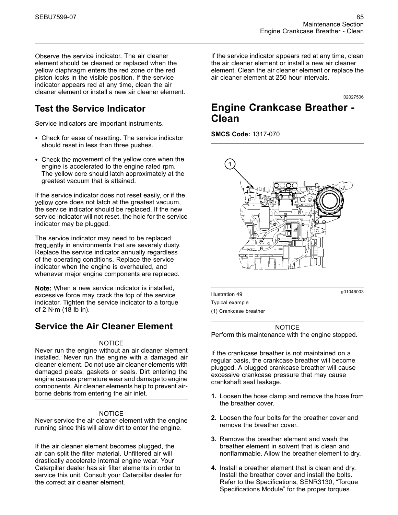Observe the service indicator. The air cleaner element should be cleaned or replaced when the yellow diaphragm enters the red zone or the red piston locks in the visible position. If the service indicator appears red at any time, clean the air cleaner element or install a new air cleaner element.

# **Test the Service Indicator**

Service indicators are important instruments.

- Check for ease of resetting. The service indicator should reset in less than three pushes.
- Check the movement of the yellow core when the engine is accelerated to the engine rated rpm. The yellow core should latch approximately at the greatest vacuum that is attained.

If the service indicator does not reset easily, or if the yellow core does not latch at the greatest vacuum, the service indicator should be replaced. If the new service indicator will not reset, the hole for the service indicator may be plugged.

The service indicator may need to be replaced frequently in environments that are severely dusty. Replace the service indicator annually regardless of the operating conditions. Replace the service indicator when the engine is overhauled, and whenever major engine components are replaced.

**Note:** When a new service indicator is installed, excessive force may crack the top of the service indicator. Tighten the service indicator to a torque of 2 N·m (18 lb in).

### **Service the Air Cleaner Element**

#### **NOTICE**

Never run the engine without an air cleaner element installed. Never run the engine with a damaged air cleaner element. Do not use air cleaner elements with damaged pleats, gaskets or seals. Dirt entering the engine causes premature wear and damage to engine components. Air cleaner elements help to prevent airborne debris from entering the air inlet.

#### NOTICE

Never service the air cleaner element with the engine running since this will allow dirt to enter the engine.

If the air cleaner element becomes plugged, the air can split the filter material. Unfiltered air will drastically accelerate internal engine wear. Your Caterpillar dealer has air filter elements in order to service this unit. Consult your Caterpillar dealer for the correct air cleaner element.

If the service indicator appears red at any time, clean the air cleaner element or install a new air cleaner element. Clean the air cleaner element or replace the air cleaner element at 250 hour intervals.

i02027506

# **Engine Crankcase Breather - Clean**

**SMCS Code:** 1317-070



g01046003 Illustration 49 Typical example

(1) Crankcase breather

**NOTICE** 

Perform this maintenance with the engine stopped.

If the crankcase breather is not maintained on a regular basis, the crankcase breather will become plugged. A plugged crankcase breather will cause excessive crankcase pressure that may cause crankshaft seal leakage.

- **1.** Loosen the hose clamp and remove the hose from the breather cover.
- **2.** Loosen the four bolts for the breather cover and remove the breather cover.
- **3.** Remove the breather element and wash the breather element in solvent that is clean and nonflammable. Allow the breather element to dry.
- **4.** Install a breather element that is clean and dry. Install the breather cover and install the bolts. Refer to the Specifications, SENR3130, "Torque Specifications Module" for the proper torques.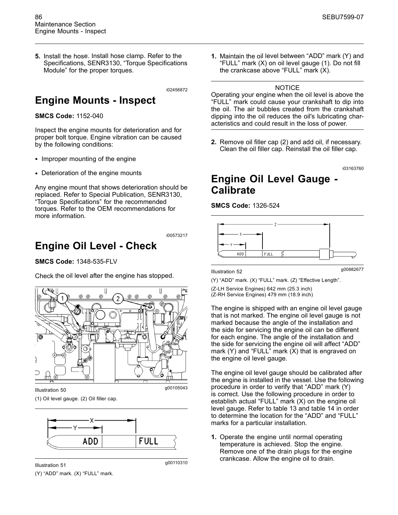**5.** Install the hose. Install hose clamp. Refer to the Specifications, SENR3130, "Torque Specifications Module" for the proper torques.

i02456872

# **Engine Mounts - Inspect**

**SMCS Code:** 1152-040

Inspect the engine mounts for deterioration and for proper bolt torque. Engine vibration can be caused by the following conditions:

- Improper mounting of the engine
- Deterioration of the engine mounts

Any engine mount that shows deterioration should be replaced. Refer to Special Publication, SENR3130, "Torque Specifications" for the recommended torques. Refer to the OEM recommendations for more information.

i00573217

# **Engine Oil Level - Check**

**SMCS Code:** 1348-535-FLV

Check the oil level after the engine has stopped.



(1) Oil level gauge. (2) Oil filler cap.



g00110310 Illustration 51

(Y) "ADD" mark. (X) "FULL" mark.

**1.** Maintain the oil level between "ADD" mark (Y) and "FULL" mark (X) on oil level gauge (1). Do not fill the crankcase above "FULL" mark (X).

#### **NOTICE**

Operating your engine when the oil level is above the "FULL" mark could cause your crankshaft to dip into the oil. The air bubbles created from the crankshaft dipping into the oil reduces the oil's lubricating characteristics and could result in the loss of power.

**2.** Remove oil filler cap (2) and add oil, if necessary. Clean the oil filler cap. Reinstall the oil filler cap.

i03163760

# **Engine Oil Level Gauge - Calibrate**

#### **SMCS Code:** 1326-524



g00882677 Illustration 52

(Y) "ADD" mark. (X) "FULL" mark. (Z) "Effective Length".

(Z-LH Service Engines) 642 mm (25.3 inch) (Z-RH Service Engines) 479 mm (18.9 inch)

The engine is shipped with an engine oil level gauge that is not marked. The engine oil level gauge is not marked because the angle of the installation and the side for servicing the engine oil can be different for each engine. The angle of the installation and the side for servicing the engine oil will affect "ADD" mark (Y) and "FULL" mark (X) that is engraved on the engine oil level gauge.

The engine oil level gauge should be calibrated after the engine is installed in the vessel. Use the following procedure in order to verify that "ADD" mark (Y) is correct. Use the following procedure in order to establish actual "FULL" mark (X) on the engine oil level gauge. Refer to table 13 and table 14 in order to determine the location for the "ADD" and "FULL" marks for a particular installation.

**1.** Operate the engine until normal operating temperature is achieved. Stop the engine. Remove one of the drain plugs for the engine crankcase. Allow the engine oil to drain.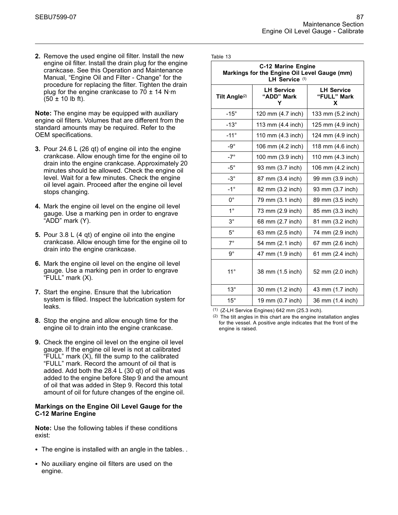**2.** Remove the used engine oil filter. Install the new engine oil filter. Install the drain plug for the engine crankcase. See this Operation and Maintenance Manual, "Engine Oil and Filter - Change" for the procedure for replacing the filter. Tighten the drain plug for the engine crankcase to  $70 \pm 14$  N·m  $(50 \pm 10 \text{ lb ft})$ .

**Note:** The engine may be equipped with auxiliary engine oil filters. Volumes that are different from the standard amounts may be required. Refer to the OEM specifications.

- **3.** Pour 24.6 L (26 qt) of engine oil into the engine crankcase. Allow enough time for the engine oil to drain into the engine crankcase. Approximately 20 minutes should be allowed. Check the engine oil level. Wait for a few minutes. Check the engine oil level again. Proceed after the engine oil level stops changing.
- **4.** Mark the engine oil level on the engine oil level gauge. Use a marking pen in order to engrave "ADD" mark (Y).
- **5.** Pour 3.8 L (4 qt) of engine oil into the engine crankcase. Allow enough time for the engine oil to drain into the engine crankcase.
- **6.** Mark the engine oil level on the engine oil level gauge. Use a marking pen in order to engrave "FULL" mark (X).
- **7.** Start the engine. Ensure that the lubrication system is filled. Inspect the lubrication system for leaks.
- **8.** Stop the engine and allow enough time for the engine oil to drain into the engine crankcase.
- **9.** Check the engine oil level on the engine oil level gauge. If the engine oil level is not at calibrated "FULL" mark (X), fill the sump to the calibrated "FULL" mark. Record the amount of oil that is added. Add both the 28.4 L (30 qt) of oil that was added to the engine before Step 9 and the amount of oil that was added in Step 9. Record this total amount of oil for future changes of the engine oil.

#### **Markings on the Engine Oil Level Gauge for the C-12 Marine Engine**

**Note:** Use the following tables if these conditions exist:

- The engine is installed with an angle in the tables. .
- No auxiliary engine oil filters are used on the engine.

| Table |  |
|-------|--|
|-------|--|

| <b>C-12 Marine Engine</b><br>Markings for the Engine Oil Level Gauge (mm)<br>LH Service (1) |                                      |                                       |
|---------------------------------------------------------------------------------------------|--------------------------------------|---------------------------------------|
| Tilt Angle <sup>(2)</sup>                                                                   | <b>LH Service</b><br>"ADD" Mark<br>Y | <b>LH Service</b><br>"FULL" Mark<br>X |
| $-15^\circ$                                                                                 | 120 mm (4.7 inch)                    | 133 mm (5.2 inch)                     |
| $-13^\circ$                                                                                 | 113 mm (4.4 inch)                    | 125 mm (4.9 inch)                     |
| $-11^{\circ}$                                                                               | 110 mm (4.3 inch)                    | 124 mm (4.9 inch)                     |
| -9 $^{\circ}$                                                                               | 106 mm (4.2 inch)                    | 118 mm (4.6 inch)                     |
| $-7^\circ$                                                                                  | 100 mm (3.9 inch)                    | 110 mm (4.3 inch)                     |
| $-5^\circ$                                                                                  | 93 mm (3.7 inch)                     | 106 mm (4.2 inch)                     |
| $-3^\circ$                                                                                  | 87 mm (3.4 inch)                     | 99 mm (3.9 inch)                      |
| $-1^{\circ}$                                                                                | 82 mm (3.2 inch)                     | 93 mm (3.7 inch)                      |
| $0^{\circ}$                                                                                 | 79 mm (3.1 inch)                     | 89 mm (3.5 inch)                      |
| $1^{\circ}$                                                                                 | 73 mm (2.9 inch)                     | 85 mm (3.3 inch)                      |
| $3^\circ$                                                                                   | 68 mm (2.7 inch)                     | 81 mm (3.2 inch)                      |
| $5^{\circ}$                                                                                 | 63 mm (2.5 inch)                     | 74 mm (2.9 inch)                      |
| $7^\circ$                                                                                   | 54 mm (2.1 inch)                     | 67 mm (2.6 inch)                      |
| $9^{\circ}$                                                                                 | 47 mm (1.9 inch)                     | 61 mm (2.4 inch)                      |
| $11^{\circ}$                                                                                | 38 mm (1.5 inch)                     | 52 mm (2.0 inch)                      |
| $13^\circ$                                                                                  | 30 mm (1.2 inch)                     | 43 mm (1.7 inch)                      |
| $15^{\circ}$                                                                                | 19 mm (0.7 inch)                     | 36 mm (1.4 inch)                      |

(1) (Z-LH Service Engines) 642 mm (25.3 inch).

(2) The tilt angles in this chart are the engine installation angles for the vessel. A positive angle indicates that the front of the engine is raised.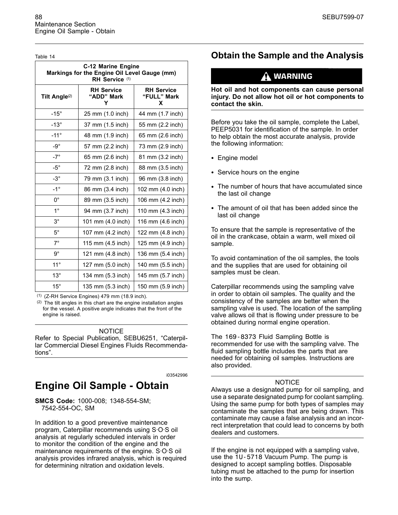Table 14

| <b>C-12 Marine Engine</b><br>Markings for the Engine Oil Level Gauge (mm)<br>RH Service (1) |                                      |                                       |
|---------------------------------------------------------------------------------------------|--------------------------------------|---------------------------------------|
| Tilt Angle <sup>(2)</sup>                                                                   | <b>RH Service</b><br>"ADD" Mark<br>Υ | <b>RH Service</b><br>"FULL" Mark<br>x |
| $-15^\circ$                                                                                 | 25 mm (1.0 inch)                     | 44 mm (1.7 inch)                      |
| $-13^\circ$                                                                                 | 37 mm (1.5 inch)                     | 55 mm (2.2 inch)                      |
| $-11^{\circ}$                                                                               | 48 mm (1.9 inch)                     | 65 mm (2.6 inch)                      |
| $-9^{\circ}$                                                                                | 57 mm (2.2 inch)                     | 73 mm (2.9 inch)                      |
| $-7^\circ$                                                                                  | 65 mm (2.6 inch)                     | 81 mm (3.2 inch)                      |
| $-5^\circ$                                                                                  | 72 mm (2.8 inch)                     | 88 mm (3.5 inch)                      |
| $-3^\circ$                                                                                  | 79 mm (3.1 inch)                     | 96 mm (3.8 inch)                      |
| $-1^{\circ}$                                                                                | 86 mm (3.4 inch)                     | 102 mm (4.0 inch)                     |
| $0^{\circ}$                                                                                 | 89 mm (3.5 inch)                     | 106 mm (4.2 inch)                     |
| $1^{\circ}$                                                                                 | 94 mm (3.7 inch)                     | 110 mm (4.3 inch)                     |
| $3^\circ$                                                                                   | 101 mm (4.0 inch)                    | 116 mm (4.6 inch)                     |
| $5^{\circ}$                                                                                 | 107 mm (4.2 inch)                    | 122 mm (4.8 inch)                     |
| $7^\circ$                                                                                   | 115 mm (4.5 inch)                    | 125 mm (4.9 inch)                     |
| $9^{\circ}$                                                                                 | 121 mm (4.8 inch)                    | 136 mm (5.4 inch)                     |
| $11^{\circ}$                                                                                | 127 mm (5.0 inch)                    | 140 mm (5.5 inch)                     |
| $13^\circ$                                                                                  | 134 mm (5.3 inch)                    | 145 mm (5.7 inch)                     |
| $15^{\circ}$                                                                                | 135 mm (5.3 inch)                    | 150 mm (5.9 inch)                     |

(1) (Z-RH Service Engines) 479 mm (18.9 inch).

(2) The tilt angles in this chart are the engine installation angles for the vessel. A positive angle indicates that the front of the engine is raised.

#### NOTICE

Refer to Special Publication, SEBU6251, "Caterpillar Commercial Diesel Engines Fluids Recommendations".

i03542996

# **Engine Oil Sample - Obtain**

**SMCS Code:** 1000-008; 1348-554-SM; 7542-554-OC, SM

In addition to a good preventive maintenance program, Caterpillar recommends using S·O·S oil analysis at regularly scheduled intervals in order to monitor the condition of the engine and the maintenance requirements of the engine. S·O·S oil analysis provides infrared analysis, which is required for determining nitration and oxidation levels.

# **Obtain the Sample and the Analysis**

# **WARNING**

**Hot oil and hot components can cause personal injury. Do not allow hot oil or hot components to contact the skin.**

Before you take the oil sample, complete the Label, PEEP5031 for identification of the sample. In order to help obtain the most accurate analysis, provide the following information:

- Engine model
- Service hours on the engine
- The number of hours that have accumulated since the last oil change
- The amount of oil that has been added since the last oil change

To ensure that the sample is representative of the oil in the crankcase, obtain a warm, well mixed oil sample.

To avoid contamination of the oil samples, the tools and the supplies that are used for obtaining oil samples must be clean.

Caterpillar recommends using the sampling valve in order to obtain oil samples. The quality and the consistency of the samples are better when the sampling valve is used. The location of the sampling valve allows oil that is flowing under pressure to be obtained during normal engine operation.

The 169-8373 Fluid Sampling Bottle is recommended for use with the sampling valve. The fluid sampling bottle includes the parts that are needed for obtaining oil samples. Instructions are also provided.

#### **NOTICE**

Always use a designated pump for oil sampling, and use a separate designated pump for coolant sampling. Using the same pump for both types of samples may contaminate the samples that are being drawn. This contaminate may cause a false analysis and an incorrect interpretation that could lead to concerns by both dealers and customers.

If the engine is not equipped with a sampling valve, use the 1U-5718 Vacuum Pump. The pump is designed to accept sampling bottles. Disposable tubing must be attached to the pump for insertion into the sump.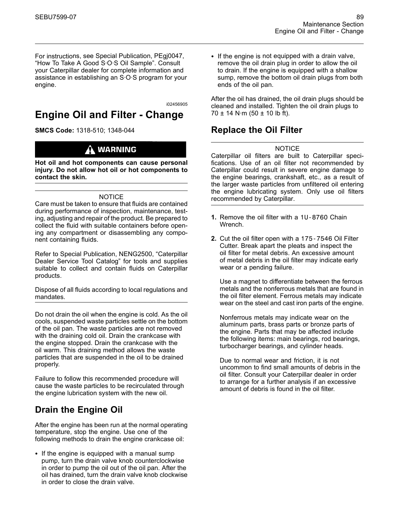For instructions, see Special Publication, PEgj0047, "How To Take A Good S·O·S Oil Sample". Consult your Caterpillar dealer for complete information and assistance in establishing an S·O·S program for your engine.

i02456905

# **Engine Oil and Filter - Change**

**SMCS Code:** 1318-510; 1348-044

# A WARNING

**Hot oil and hot components can cause personal injury. Do not allow hot oil or hot components to contact the skin.**

#### **NOTICE**

Care must be taken to ensure that fluids are contained during performance of inspection, maintenance, testing, adjusting and repair of the product. Be prepared to collect the fluid with suitable containers before opening any compartment or disassembling any component containing fluids.

Refer to Special Publication, NENG2500, "Caterpillar Dealer Service Tool Catalog" for tools and supplies suitable to collect and contain fluids on Caterpillar products.

Dispose of all fluids according to local regulations and mandates.

Do not drain the oil when the engine is cold. As the oil cools, suspended waste particles settle on the bottom of the oil pan. The waste particles are not removed with the draining cold oil. Drain the crankcase with the engine stopped. Drain the crankcase with the oil warm. This draining method allows the waste particles that are suspended in the oil to be drained properly.

Failure to follow this recommended procedure will cause the waste particles to be recirculated through the engine lubrication system with the new oil.

# **Drain the Engine Oil**

After the engine has been run at the normal operating temperature, stop the engine. Use one of the following methods to drain the engine crankcase oil:

• If the engine is equipped with a manual sump pump, turn the drain valve knob counterclockwise in order to pump the oil out of the oil pan. After the oil has drained, turn the drain valve knob clockwise in order to close the drain valve.

• If the engine is not equipped with a drain valve, remove the oil drain plug in order to allow the oil to drain. If the engine is equipped with a shallow sump, remove the bottom oil drain plugs from both ends of the oil pan.

After the oil has drained, the oil drain plugs should be cleaned and installed. Tighten the oil drain plugs to 70  $\pm$  14 N·m (50  $\pm$  10 lb ft).

### **Replace the Oil Filter**

#### **NOTICE**

Caterpillar oil filters are built to Caterpillar specifications. Use of an oil filter not recommended by Caterpillar could result in severe engine damage to the engine bearings, crankshaft, etc., as a result of the larger waste particles from unfiltered oil entering the engine lubricating system. Only use oil filters recommended by Caterpillar.

- **1.** Remove the oil filter with a 1U-8760 Chain Wrench.
- **2.** Cut the oil filter open with a 175-7546 Oil Filter Cutter. Break apart the pleats and inspect the oil filter for metal debris. An excessive amount of metal debris in the oil filter may indicate early wear or a pending failure.

Use a magnet to differentiate between the ferrous metals and the nonferrous metals that are found in the oil filter element. Ferrous metals may indicate wear on the steel and cast iron parts of the engine.

Nonferrous metals may indicate wear on the aluminum parts, brass parts or bronze parts of the engine. Parts that may be affected include the following items: main bearings, rod bearings, turbocharger bearings, and cylinder heads.

Due to normal wear and friction, it is not uncommon to find small amounts of debris in the oil filter. Consult your Caterpillar dealer in order to arrange for a further analysis if an excessive amount of debris is found in the oil filter.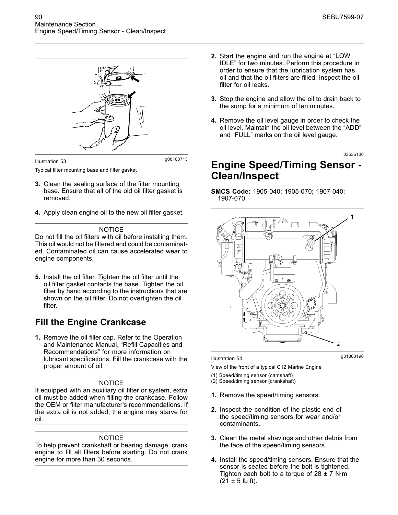

Typical filter mounting base and filter gasket

- **3.** Clean the sealing surface of the filter mounting base. Ensure that all of the old oil filter gasket is removed.
- **4.** Apply clean engine oil to the new oil filter gasket.

#### **NOTICE**

Do not fill the oil filters with oil before installing them. This oil would not be filtered and could be contaminated. Contaminated oil can cause accelerated wear to engine components.

**5.** Install the oil filter. Tighten the oil filter until the oil filter gasket contacts the base. Tighten the oil filter by hand according to the instructions that are shown on the oil filter. Do not overtighten the oil filter.

# **Fill the Engine Crankcase**

**1.** Remove the oil filler cap. Refer to the Operation and Maintenance Manual, "Refill Capacities and Recommendations" for more information on lubricant specifications. Fill the crankcase with the proper amount of oil.

#### NOTICE

If equipped with an auxiliary oil filter or system, extra oil must be added when filling the crankcase. Follow the OEM or filter manufacturer's recommendations. If the extra oil is not added, the engine may starve for oil.

#### **NOTICE**

To help prevent crankshaft or bearing damage, crank engine to fill all filters before starting. Do not crank engine for more than 30 seconds.

- **2.** Start the engine and run the engine at "LOW IDLE" for two minutes. Perform this procedure in order to ensure that the lubrication system has oil and that the oil filters are filled. Inspect the oil filter for oil leaks.
- **3.** Stop the engine and allow the oil to drain back to the sump for a minimum of ten minutes.
- **4.** Remove the oil level gauge in order to check the oil level. Maintain the oil level between the "ADD" and "FULL" marks on the oil level gauge.

i03535100

# **Engine Speed/Timing Sensor - Clean/Inspect**

#### **SMCS Code:** 1905-040; 1905-070; 1907-040; 1907-070



#### g01863196 Illustration 54

View of the front of a typical C12 Marine Engine

- (1) Speed/timing sensor (camshaft)
- (2) Speed/timing sensor (crankshaft)
- **1.** Remove the speed/timing sensors.
- **2.** Inspect the condition of the plastic end of the speed/timing sensors for wear and/or contaminants.
- **3.** Clean the metal shavings and other debris from the face of the speed/timing sensors.
- **4.** Install the speed/timing sensors. Ensure that the sensor is seated before the bolt is tightened. Tighten each bolt to a torque of  $28 \pm 7$  N·m  $(21 \pm 5 \text{ lb ft})$ .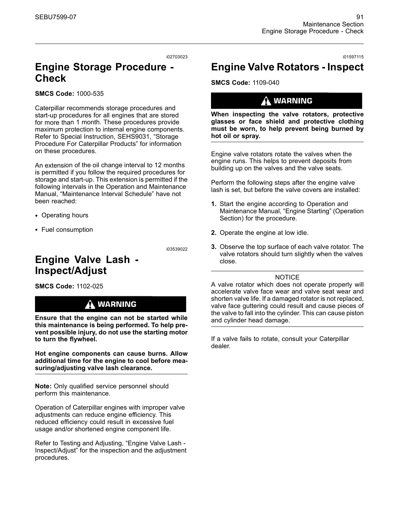i02703023

# **Engine Storage Procedure - Check**

**SMCS Code:** 1000-535

Caterpillar recommends storage procedures and start-up procedures for all engines that are stored for more than 1 month. These procedures provide maximum protection to internal engine components. Refer to Special Instruction, SEHS9031, "Storage Procedure For Caterpillar Products" for information on these procedures.

An extension of the oil change interval to 12 months is permitted if you follow the required procedures for storage and start-up. This extension is permitted if the following intervals in the Operation and Maintenance Manual, "Maintenance Interval Schedule" have not been reached:

- Operating hours
- Fuel consumption

i03539022

# **Engine Valve Lash - Inspect/Adjust**

**SMCS Code:** 1102-025

# $\Lambda$  warning

**Ensure that the engine can not be started while this maintenance is being performed. To help prevent possible injury, do not use the starting motor to turn the flywheel.**

**Hot engine components can cause burns. Allow additional time for the engine to cool before measuring/adjusting valve lash clearance.**

**Note:** Only qualified service personnel should perform this maintenance.

Operation of Caterpillar engines with improper valve adjustments can reduce engine efficiency. This reduced efficiency could result in excessive fuel usage and/or shortened engine component life.

Refer to Testing and Adjusting, "Engine Valve Lash - Inspect/Adjust" for the inspection and the adjustment procedures.

# **Engine Valve Rotators - Inspect**

**SMCS Code:** 1109-040

### $\Lambda$  warning

**When inspecting the valve rotators, protective glasses or face shield and protective clothing must be worn, to help prevent being burned by hot oil or spray.**

Engine valve rotators rotate the valves when the engine runs. This helps to prevent deposits from building up on the valves and the valve seats.

Perform the following steps after the engine valve lash is set, but before the valve covers are installed:

- **1.** Start the engine according to Operation and Maintenance Manual, "Engine Starting" (Operation Section) for the procedure.
- **2.** Operate the engine at low idle.
- **3.** Observe the top surface of each valve rotator. The valve rotators should turn slightly when the valves close.

#### **NOTICE**

A valve rotator which does not operate properly will accelerate valve face wear and valve seat wear and shorten valve life. If a damaged rotator is not replaced, valve face guttering could result and cause pieces of the valve to fall into the cylinder. This can cause piston and cylinder head damage.

If a valve fails to rotate, consult your Caterpillar dealer.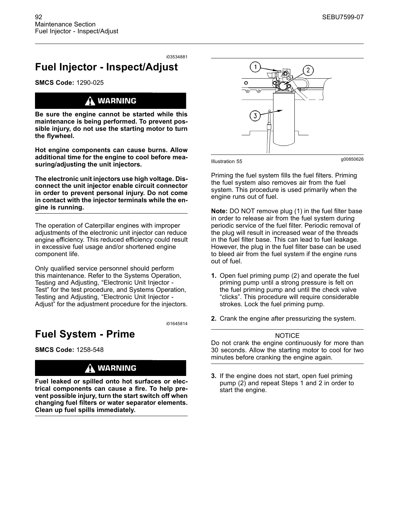# **Fuel Injector - Inspect/Adjust**

**SMCS Code:** 1290-025

### **WARNING**

**Be sure the engine cannot be started while this maintenance is being performed. To prevent possible injury, do not use the starting motor to turn the flywheel.**

**Hot engine components can cause burns. Allow additional time for the engine to cool before measuring/adjusting the unit injectors.**

**The electronic unit injectors use high voltage. Disconnect the unit injector enable circuit connector in order to prevent personal injury. Do not come in contact with the injector terminals while the engine is running.**

The operation of Caterpillar engines with improper adjustments of the electronic unit injector can reduce engine efficiency. This reduced efficiency could result in excessive fuel usage and/or shortened engine component life.

Only qualified service personnel should perform this maintenance. Refer to the Systems Operation, Testing and Adjusting, "Electronic Unit Injector - Test" for the test procedure, and Systems Operation, Testing and Adjusting, "Electronic Unit Injector - Adjust" for the adjustment procedure for the injectors.

i01645814

# **Fuel System - Prime**

**SMCS Code:** 1258-548

# A WARNING

**Fuel leaked or spilled onto hot surfaces or electrical components can cause a fire. To help prevent possible injury, turn the start switch off when changing fuel filters or water separator elements. Clean up fuel spills immediately.**



g00850626 Illustration 55

Priming the fuel system fills the fuel filters. Priming the fuel system also removes air from the fuel system. This procedure is used primarily when the engine runs out of fuel.

**Note:** DO NOT remove plug (1) in the fuel filter base in order to release air from the fuel system during periodic service of the fuel filter. Periodic removal of the plug will result in increased wear of the threads in the fuel filter base. This can lead to fuel leakage. However, the plug in the fuel filter base can be used to bleed air from the fuel system if the engine runs out of fuel.

- **1.** Open fuel priming pump (2) and operate the fuel priming pump until a strong pressure is felt on the fuel priming pump and until the check valve "clicks". This procedure will require considerable strokes. Lock the fuel priming pump.
- **2.** Crank the engine after pressurizing the system.

#### **NOTICE**

Do not crank the engine continuously for more than 30 seconds. Allow the starting motor to cool for two minutes before cranking the engine again.

**3.** If the engine does not start, open fuel priming pump (2) and repeat Steps 1 and 2 in order to start the engine.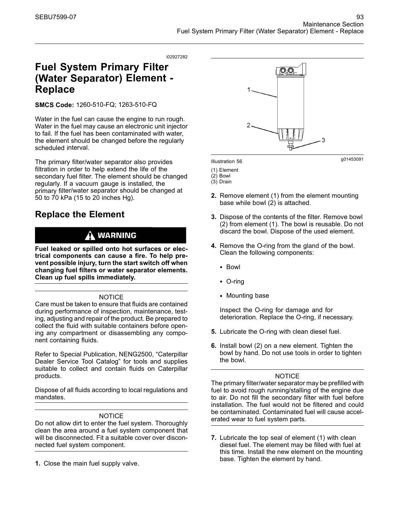# **Fuel System Primary Filter (Water Separator) Element - Replace**

**SMCS Code:** 1260-510-FQ; 1263-510-FQ

Water in the fuel can cause the engine to run rough. Water in the fuel may cause an electronic unit injector to fail. If the fuel has been contaminated with water, the element should be changed before the regularly scheduled interval.

The primary filter/water separator also provides filtration in order to help extend the life of the secondary fuel filter. The element should be changed regularly. If a vacuum gauge is installed, the primary filter/water separator should be changed at 50 to 70 kPa (15 to 20 inches Hg).

# **Replace the Element**

# **WARNING**

**Fuel leaked or spilled onto hot surfaces or electrical components can cause a fire. To help prevent possible injury, turn the start switch off when changing fuel filters or water separator elements. Clean up fuel spills immediately.**

#### **NOTICE**

Care must be taken to ensure that fluids are contained during performance of inspection, maintenance, testing, adjusting and repair of the product. Be prepared to collect the fluid with suitable containers before opening any compartment or disassembling any component containing fluids.

Refer to Special Publication, NENG2500, "Caterpillar Dealer Service Tool Catalog" for tools and supplies suitable to collect and contain fluids on Caterpillar products.

Dispose of all fluids according to local regulations and mandates.

#### **NOTICE**

Do not allow dirt to enter the fuel system. Thoroughly clean the area around a fuel system component that will be disconnected. Fit a suitable cover over disconnected fuel system component.

**1.** Close the main fuel supply valve.



g01453091 Illustration 56

- (1) Element
- (2) Bowl
- (3) Drain
- **2.** Remove element (1) from the element mounting base while bowl (2) is attached.
- **3.** Dispose of the contents of the filter. Remove bowl (2) from element (1). The bowl is reusable. Do not discard the bowl. Dispose of the used element.
- **4.** Remove the O-ring from the gland of the bowl. Clean the following components:
	- Bowl
	- O-ring
	- Mounting base

Inspect the O-ring for damage and for deterioration. Replace the O-ring, if necessary.

- **5.** Lubricate the O-ring with clean diesel fuel.
- **6.** Install bowl (2) on a new element. Tighten the bowl by hand. Do not use tools in order to tighten the bowl.

#### **NOTICE**

The primary filter/water separator may be prefilled with fuel to avoid rough running/stalling of the engine due to air. Do not fill the secondary filter with fuel before installation. The fuel would not be filtered and could be contaminated. Contaminated fuel will cause accelerated wear to fuel system parts.

**7.** Lubricate the top seal of element (1) with clean diesel fuel. The element may be filled with fuel at this time. Install the new element on the mounting base. Tighten the element by hand.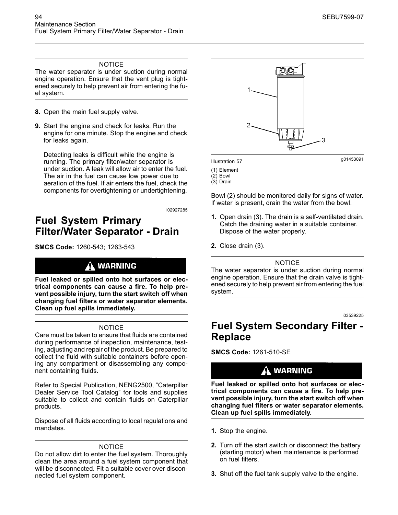#### **NOTICE**

The water separator is under suction during normal engine operation. Ensure that the vent plug is tightened securely to help prevent air from entering the fuel system.

- **8.** Open the main fuel supply valve.
- **9.** Start the engine and check for leaks. Run the engine for one minute. Stop the engine and check for leaks again.

Detecting leaks is difficult while the engine is running. The primary filter/water separator is under suction. A leak will allow air to enter the fuel. The air in the fuel can cause low power due to aeration of the fuel. If air enters the fuel, check the components for overtightening or undertightening.

i02927285

# **Fuel System Primary Filter/Water Separator - Drain**

**SMCS Code:** 1260-543; 1263-543

### A WARNING

**Fuel leaked or spilled onto hot surfaces or electrical components can cause a fire. To help prevent possible injury, turn the start switch off when changing fuel filters or water separator elements. Clean up fuel spills immediately.**

#### **NOTICE**

Care must be taken to ensure that fluids are contained during performance of inspection, maintenance, testing, adjusting and repair of the product. Be prepared to collect the fluid with suitable containers before opening any compartment or disassembling any component containing fluids.

Refer to Special Publication, NENG2500, "Caterpillar Dealer Service Tool Catalog" for tools and supplies suitable to collect and contain fluids on Caterpillar products.

Dispose of all fluids according to local regulations and mandates.

#### **NOTICE**

Do not allow dirt to enter the fuel system. Thoroughly clean the area around a fuel system component that will be disconnected. Fit a suitable cover over disconnected fuel system component.



g01453091 Illustration 57

- (1) Element
- (2) Bowl (3) Drain

Bowl (2) should be monitored daily for signs of water. If water is present, drain the water from the bowl.

- **1.** Open drain (3). The drain is a self-ventilated drain. Catch the draining water in a suitable container. Dispose of the water properly.
- **2.** Close drain (3).

#### NOTICE

The water separator is under suction during normal engine operation. Ensure that the drain valve is tightened securely to help prevent air from entering the fuel system.

i03539225

# **Fuel System Secondary Filter - Replace**

**SMCS Code:** 1261-510-SE

### $\Lambda$  WARNING

**Fuel leaked or spilled onto hot surfaces or electrical components can cause a fire. To help prevent possible injury, turn the start switch off when changing fuel filters or water separator elements. Clean up fuel spills immediately.**

- **1.** Stop the engine.
- **2.** Turn off the start switch or disconnect the battery (starting motor) when maintenance is performed on fuel filters.
- **3.** Shut off the fuel tank supply valve to the engine.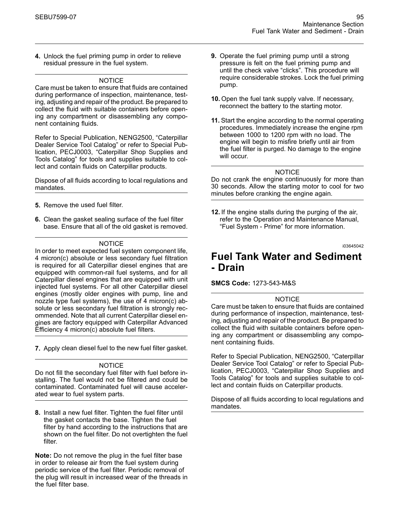**4.** Unlock the fuel priming pump in order to relieve residual pressure in the fuel system.

#### **NOTICE**

Care must be taken to ensure that fluids are contained during performance of inspection, maintenance, testing, adjusting and repair of the product. Be prepared to collect the fluid with suitable containers before opening any compartment or disassembling any component containing fluids.

Refer to Special Publication, NENG2500, "Caterpillar Dealer Service Tool Catalog" or refer to Special Publication, PECJ0003, "Caterpillar Shop Supplies and Tools Catalog" for tools and supplies suitable to collect and contain fluids on Caterpillar products.

Dispose of all fluids according to local regulations and mandates.

- **5.** Remove the used fuel filter.
- **6.** Clean the gasket sealing surface of the fuel filter base. Ensure that all of the old gasket is removed.

#### NOTICE

In order to meet expected fuel system component life, 4 micron(c) absolute or less secondary fuel filtration is required for all Caterpillar diesel engines that are equipped with common-rail fuel systems, and for all Caterpillar diesel engines that are equipped with unit injected fuel systems. For all other Caterpillar diesel engines (mostly older engines with pump, line and nozzle type fuel systems), the use of 4 micron(c) absolute or less secondary fuel filtration is strongly recommended. Note that all current Caterpillar diesel engines are factory equipped with Caterpillar Advanced Efficiency 4 micron(c) absolute fuel filters.

**7.** Apply clean diesel fuel to the new fuel filter gasket.

#### **NOTICE**

Do not fill the secondary fuel filter with fuel before installing. The fuel would not be filtered and could be contaminated. Contaminated fuel will cause accelerated wear to fuel system parts.

**8.** Install a new fuel filter. Tighten the fuel filter until the gasket contacts the base. Tighten the fuel filter by hand according to the instructions that are shown on the fuel filter. Do not overtighten the fuel filter.

**Note:** Do not remove the plug in the fuel filter base in order to release air from the fuel system during periodic service of the fuel filter. Periodic removal of the plug will result in increased wear of the threads in the fuel filter base.

- **9.** Operate the fuel priming pump until a strong pressure is felt on the fuel priming pump and until the check valve "clicks". This procedure will require considerable strokes. Lock the fuel priming pump.
- **10.** Open the fuel tank supply valve. If necessary, reconnect the battery to the starting motor.
- **11.** Start the engine according to the normal operating procedures. Immediately increase the engine rpm between 1000 to 1200 rpm with no load. The engine will begin to misfire briefly until air from the fuel filter is purged. No damage to the engine will occur.

#### NOTICE

Do not crank the engine continuously for more than 30 seconds. Allow the starting motor to cool for two minutes before cranking the engine again.

**12.** If the engine stalls during the purging of the air, refer to the Operation and Maintenance Manual, "Fuel System - Prime" for more information.

i03645042

### **Fuel Tank Water and Sediment - Drain**

#### **SMCS Code:** 1273-543-M&S

#### NOTICE

Care must be taken to ensure that fluids are contained during performance of inspection, maintenance, testing, adjusting and repair of the product. Be prepared to collect the fluid with suitable containers before opening any compartment or disassembling any component containing fluids.

Refer to Special Publication, NENG2500, "Caterpillar Dealer Service Tool Catalog" or refer to Special Publication, PECJ0003, "Caterpillar Shop Supplies and Tools Catalog" for tools and supplies suitable to collect and contain fluids on Caterpillar products.

Dispose of all fluids according to local regulations and mandates.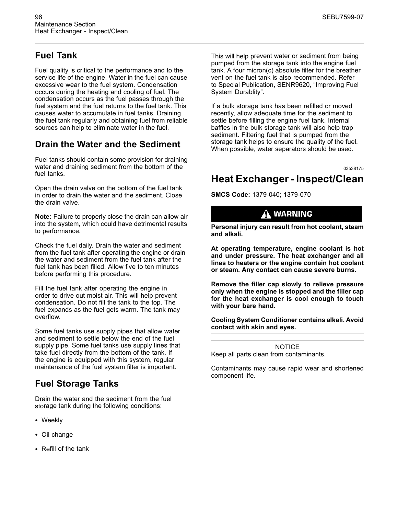# **Fuel Tank**

Fuel quality is critical to the performance and to the service life of the engine. Water in the fuel can cause excessive wear to the fuel system. Condensation occurs during the heating and cooling of fuel. The condensation occurs as the fuel passes through the fuel system and the fuel returns to the fuel tank. This causes water to accumulate in fuel tanks. Draining the fuel tank regularly and obtaining fuel from reliable sources can help to eliminate water in the fuel.

# **Drain the Water and the Sediment**

Fuel tanks should contain some provision for draining water and draining sediment from the bottom of the fuel tanks.

Open the drain valve on the bottom of the fuel tank in order to drain the water and the sediment. Close the drain valve.

**Note:** Failure to properly close the drain can allow air into the system, which could have detrimental results to performance.

Check the fuel daily. Drain the water and sediment from the fuel tank after operating the engine or drain the water and sediment from the fuel tank after the fuel tank has been filled. Allow five to ten minutes before performing this procedure.

Fill the fuel tank after operating the engine in order to drive out moist air. This will help prevent condensation. Do not fill the tank to the top. The fuel expands as the fuel gets warm. The tank may overflow.

Some fuel tanks use supply pipes that allow water and sediment to settle below the end of the fuel supply pipe. Some fuel tanks use supply lines that take fuel directly from the bottom of the tank. If the engine is equipped with this system, regular maintenance of the fuel system filter is important.

# **Fuel Storage Tanks**

Drain the water and the sediment from the fuel storage tank during the following conditions:

- Weekly
- Oil change
- Refill of the tank

This will help prevent water or sediment from being pumped from the storage tank into the engine fuel tank. A four micron(c) absolute filter for the breather vent on the fuel tank is also recommended. Refer to Special Publication, SENR9620, "Improving Fuel System Durablity".

If a bulk storage tank has been refilled or moved recently, allow adequate time for the sediment to settle before filling the engine fuel tank. Internal baffles in the bulk storage tank will also help trap sediment. Filtering fuel that is pumped from the storage tank helps to ensure the quality of the fuel. When possible, water separators should be used.

i03538175

# **Heat Exchanger - Inspect/Clean**

**SMCS Code:** 1379-040; 1379-070

### $\mathbf{\Lambda}$  warning

**Personal injury can result from hot coolant, steam and alkali.**

**At operating temperature, engine coolant is hot and under pressure. The heat exchanger and all lines to heaters or the engine contain hot coolant or steam. Any contact can cause severe burns.**

**Remove the filler cap slowly to relieve pressure only when the engine is stopped and the filler cap for the heat exchanger is cool enough to touch with your bare hand.**

**Cooling System Conditioner contains alkali. Avoid contact with skin and eyes.**

NOTICE

Keep all parts clean from contaminants.

Contaminants may cause rapid wear and shortened component life.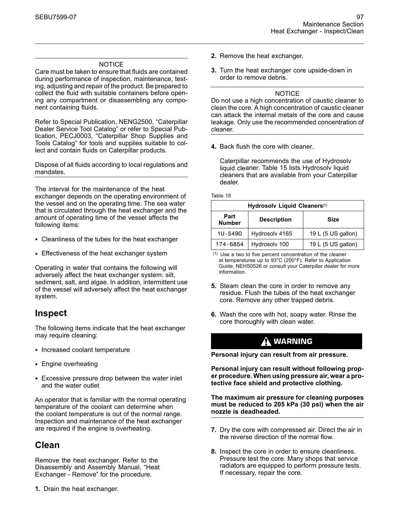#### NOTICE

Care must be taken to ensure that fluids are contained during performance of inspection, maintenance, testing, adjusting and repair of the product. Be prepared to collect the fluid with suitable containers before opening any compartment or disassembling any component containing fluids.

Refer to Special Publication, NENG2500, "Caterpillar Dealer Service Tool Catalog" or refer to Special Publication, PECJ0003, "Caterpillar Shop Supplies and Tools Catalog" for tools and supplies suitable to collect and contain fluids on Caterpillar products.

Dispose of all fluids according to local regulations and mandates.

The interval for the maintenance of the heat exchanger depends on the operating environment of the vessel and on the operating time. The sea water that is circulated through the heat exchanger and the amount of operating time of the vessel affects the following items:

- Cleanliness of the tubes for the heat exchanger
- Effectiveness of the heat exchanger system

Operating in water that contains the following will adversely affect the heat exchanger system: silt, sediment, salt, and algae. In addition, intermittent use of the vessel will adversely affect the heat exchanger system.

### **Inspect**

The following items indicate that the heat exchanger may require cleaning:

- Increased coolant temperature
- Engine overheating
- Excessive pressure drop between the water inlet and the water outlet

An operator that is familiar with the normal operating temperature of the coolant can determine when the coolant temperature is out of the normal range. Inspection and maintenance of the heat exchanger are required if the engine is overheating.

# **Clean**

Remove the heat exchanger. Refer to the Disassembly and Assembly Manual, "Heat Exchanger - Remove" for the procedure.

**1.** Drain the heat exchanger.

- **2.** Remove the heat exchanger.
- **3.** Turn the heat exchanger core upside-down in order to remove debris.

#### **NOTICE**

Do not use a high concentration of caustic cleaner to clean the core. A high concentration of caustic cleaner can attack the internal metals of the core and cause leakage. Only use the recommended concentration of cleaner.

**4.** Back flush the core with cleaner.

Caterpillar recommends the use of Hydrosolv liquid cleaner. Table 15 lists Hydrosolv liquid cleaners that are available from your Caterpillar dealer.

Table 15

| Hydrosolv Liquid Cleaners <sup>(1)</sup> |                                   |                    |
|------------------------------------------|-----------------------------------|--------------------|
| Part<br><b>Number</b>                    | <b>Description</b><br><b>Size</b> |                    |
| 1U-5490                                  | Hydrosolv 4165                    | 19 L (5 US gallon) |
| 174-6854                                 | Hydrosolv 100                     | 19 L (5 US gallon) |

(1) Use a two to five percent concentration of the cleaner at temperatures up to 93°C (200°F). Refer to Application Guide, NEHS0526 or consult your Caterpillar dealer for more information.

- **5.** Steam clean the core in order to remove any residue. Flush the tubes of the heat exchanger core. Remove any other trapped debris.
- **6.** Wash the core with hot, soapy water. Rinse the core thoroughly with clean water.

### A WARNING

**Personal injury can result from air pressure.**

**Personal injury can result without following proper procedure. When using pressure air, wear a protective face shield and protective clothing.**

**The maximum air pressure for cleaning purposes must be reduced to 205 kPa (30 psi) when the air nozzle is deadheaded.**

- **7.** Dry the core with compressed air. Direct the air in the reverse direction of the normal flow.
- **8.** Inspect the core in order to ensure cleanliness. Pressure test the core. Many shops that service radiators are equipped to perform pressure tests. If necessary, repair the core.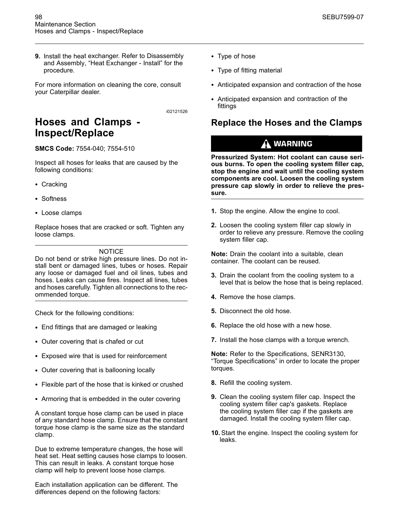**9.** Install the heat exchanger. Refer to Disassembly and Assembly, "Heat Exchanger - Install" for the procedure.

For more information on cleaning the core, consult your Caterpillar dealer.

i02121526

# **Hoses and Clamps - Inspect/Replace**

**SMCS Code:** 7554-040; 7554-510

Inspect all hoses for leaks that are caused by the following conditions:

- Cracking
- Softness
- Loose clamps

Replace hoses that are cracked or soft. Tighten any loose clamps.

#### **NOTICE**

Do not bend or strike high pressure lines. Do not install bent or damaged lines, tubes or hoses. Repair any loose or damaged fuel and oil lines, tubes and hoses. Leaks can cause fires. Inspect all lines, tubes and hoses carefully. Tighten all connections to the recommended torque.

Check for the following conditions:

- End fittings that are damaged or leaking
- Outer covering that is chafed or cut
- Exposed wire that is used for reinforcement
- Outer covering that is ballooning locally
- Flexible part of the hose that is kinked or crushed
- Armoring that is embedded in the outer covering

A constant torque hose clamp can be used in place of any standard hose clamp. Ensure that the constant torque hose clamp is the same size as the standard clamp.

Due to extreme temperature changes, the hose will heat set. Heat setting causes hose clamps to loosen. This can result in leaks. A constant torque hose clamp will help to prevent loose hose clamps.

Each installation application can be different. The differences depend on the following factors:

- Type of hose
- Type of fitting material
- Anticipated expansion and contraction of the hose
- Anticipated expansion and contraction of the fittings

### **Replace the Hoses and the Clamps**

### $\Lambda$  warning

**Pressurized System: Hot coolant can cause serious burns. To open the cooling system filler cap, stop the engine and wait until the cooling system components are cool. Loosen the cooling system pressure cap slowly in order to relieve the pressure.**

- **1.** Stop the engine. Allow the engine to cool.
- **2.** Loosen the cooling system filler cap slowly in order to relieve any pressure. Remove the cooling system filler cap.

**Note:** Drain the coolant into a suitable, clean container. The coolant can be reused.

- **3.** Drain the coolant from the cooling system to a level that is below the hose that is being replaced.
- **4.** Remove the hose clamps.
- **5.** Disconnect the old hose.
- **6.** Replace the old hose with a new hose.
- **7.** Install the hose clamps with a torque wrench.

**Note:** Refer to the Specifications, SENR3130, "Torque Specifications" in order to locate the proper torques.

- **8.** Refill the cooling system.
- **9.** Clean the cooling system filler cap. Inspect the cooling system filler cap's gaskets. Replace the cooling system filler cap if the gaskets are damaged. Install the cooling system filler cap.
- **10.** Start the engine. Inspect the cooling system for leaks.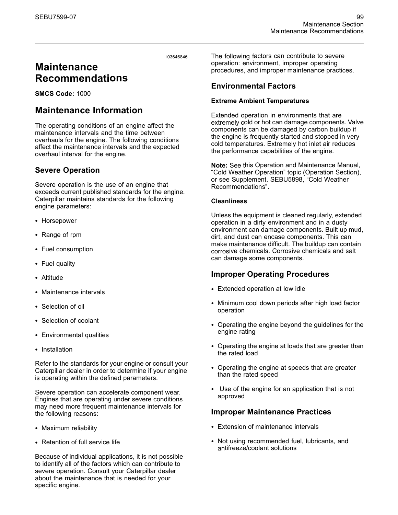# **Maintenance Recommendations**

**SMCS Code:** 1000

# **Maintenance Information**

The operating conditions of an engine affect the maintenance intervals and the time between overhauls for the engine. The following conditions affect the maintenance intervals and the expected overhaul interval for the engine.

### **Severe Operation**

Severe operation is the use of an engine that exceeds current published standards for the engine. Caterpillar maintains standards for the following engine parameters:

- Horsepower
- Range of rpm
- Fuel consumption
- Fuel quality
- Altitude
- Maintenance intervals
- Selection of oil
- Selection of coolant
- Environmental qualities
- Installation

Refer to the standards for your engine or consult your Caterpillar dealer in order to determine if your engine is operating within the defined parameters.

Severe operation can accelerate component wear. Engines that are operating under severe conditions may need more frequent maintenance intervals for the following reasons:

- Maximum reliability
- Retention of full service life

Because of individual applications, it is not possible to identify all of the factors which can contribute to severe operation. Consult your Caterpillar dealer about the maintenance that is needed for your specific engine.

The following factors can contribute to severe operation: environment, improper operating procedures, and improper maintenance practices.

#### **Environmental Factors**

#### **Extreme Ambient Temperatures**

Extended operation in environments that are extremely cold or hot can damage components. Valve components can be damaged by carbon buildup if the engine is frequently started and stopped in very cold temperatures. Extremely hot inlet air reduces the performance capabilities of the engine.

**Note:** See this Operation and Maintenance Manual, "Cold Weather Operation" topic (Operation Section), or see Supplement, SEBU5898, "Cold Weather Recommendations".

#### **Cleanliness**

Unless the equipment is cleaned regularly, extended operation in a dirty environment and in a dusty environment can damage components. Built up mud, dirt, and dust can encase components. This can make maintenance difficult. The buildup can contain corrosive chemicals. Corrosive chemicals and salt can damage some components.

#### **Improper Operating Procedures**

- Extended operation at low idle
- Minimum cool down periods after high load factor operation
- Operating the engine beyond the guidelines for the engine rating
- Operating the engine at loads that are greater than the rated load
- Operating the engine at speeds that are greater than the rated speed
- Use of the engine for an application that is not approved

#### **Improper Maintenance Practices**

- Extension of maintenance intervals
- Not using recommended fuel, lubricants, and antifreeze/coolant solutions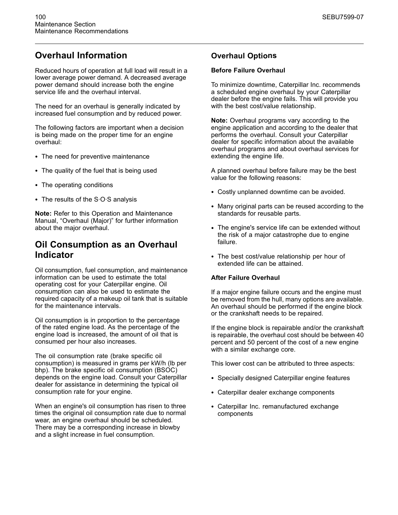# **Overhaul Information**

Reduced hours of operation at full load will result in a lower average power demand. A decreased average power demand should increase both the engine service life and the overhaul interval.

The need for an overhaul is generally indicated by increased fuel consumption and by reduced power.

The following factors are important when a decision is being made on the proper time for an engine overhaul:

- The need for preventive maintenance
- The quality of the fuel that is being used
- The operating conditions
- The results of the S·O·S analysis

**Note:** Refer to this Operation and Maintenance Manual, "Overhaul (Major)" for further information about the major overhaul.

### **Oil Consumption as an Overhaul Indicator**

Oil consumption, fuel consumption, and maintenance information can be used to estimate the total operating cost for your Caterpillar engine. Oil consumption can also be used to estimate the required capacity of a makeup oil tank that is suitable for the maintenance intervals.

Oil consumption is in proportion to the percentage of the rated engine load. As the percentage of the engine load is increased, the amount of oil that is consumed per hour also increases.

The oil consumption rate (brake specific oil consumption) is measured in grams per kW/h (lb per bhp). The brake specific oil consumption (BSOC) depends on the engine load. Consult your Caterpillar dealer for assistance in determining the typical oil consumption rate for your engine.

When an engine's oil consumption has risen to three times the original oil consumption rate due to normal wear, an engine overhaul should be scheduled. There may be a corresponding increase in blowby and a slight increase in fuel consumption.

#### **Overhaul Options**

#### **Before Failure Overhaul**

To minimize downtime, Caterpillar Inc. recommends a scheduled engine overhaul by your Caterpillar dealer before the engine fails. This will provide you with the best cost/value relationship.

**Note:** Overhaul programs vary according to the engine application and according to the dealer that performs the overhaul. Consult your Caterpillar dealer for specific information about the available overhaul programs and about overhaul services for extending the engine life.

A planned overhaul before failure may be the best value for the following reasons:

- Costly unplanned downtime can be avoided.
- Many original parts can be reused according to the standards for reusable parts.
- The engine's service life can be extended without the risk of a major catastrophe due to engine failure.
- The best cost/value relationship per hour of extended life can be attained.

#### **After Failure Overhaul**

If a major engine failure occurs and the engine must be removed from the hull, many options are available. An overhaul should be performed if the engine block or the crankshaft needs to be repaired.

If the engine block is repairable and/or the crankshaft is repairable, the overhaul cost should be between 40 percent and 50 percent of the cost of a new engine with a similar exchange core.

This lower cost can be attributed to three aspects:

- Specially designed Caterpillar engine features
- Caterpillar dealer exchange components
- Caterpillar Inc. remanufactured exchange components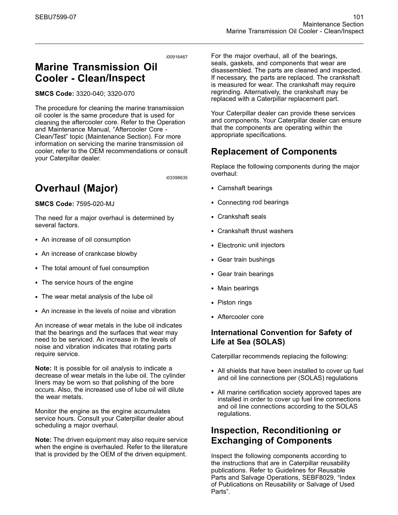# **Marine Transmission Oil Cooler - Clean/Inspect**

**SMCS Code:** 3320-040; 3320-070

The procedure for cleaning the marine transmission oil cooler is the same procedure that is used for cleaning the aftercooler core. Refer to the Operation and Maintenance Manual, "Aftercooler Core - Clean/Test" topic (Maintenance Section). For more information on servicing the marine transmission oil cooler, refer to the OEM recommendations or consult your Caterpillar dealer.

i03398635

# **Overhaul (Major)**

**SMCS Code:** 7595-020-MJ

The need for a major overhaul is determined by several factors.

- An increase of oil consumption
- An increase of crankcase blowby
- The total amount of fuel consumption
- The service hours of the engine
- The wear metal analysis of the lube oil
- An increase in the levels of noise and vibration

An increase of wear metals in the lube oil indicates that the bearings and the surfaces that wear may need to be serviced. An increase in the levels of noise and vibration indicates that rotating parts require service.

**Note:** It is possible for oil analysis to indicate a decrease of wear metals in the lube oil. The cylinder liners may be worn so that polishing of the bore occurs. Also, the increased use of lube oil will dilute the wear metals.

Monitor the engine as the engine accumulates service hours. Consult your Caterpillar dealer about scheduling a major overhaul.

**Note:** The driven equipment may also require service when the engine is overhauled. Refer to the literature that is provided by the OEM of the driven equipment.

For the major overhaul, all of the bearings, seals, gaskets, and components that wear are disassembled. The parts are cleaned and inspected. If necessary, the parts are replaced. The crankshaft is measured for wear. The crankshaft may require regrinding. Alternatively, the crankshaft may be replaced with a Caterpillar replacement part.

Your Caterpillar dealer can provide these services and components. Your Caterpillar dealer can ensure that the components are operating within the appropriate specifications.

# **Replacement of Components**

Replace the following components during the major overhaul:

- Camshaft bearings
- Connecting rod bearings
- Crankshaft seals
- Crankshaft thrust washers
- Electronic unit injectors
- Gear train bushings
- Gear train bearings
- Main bearings
- Piston rings
- Aftercooler core

#### **International Convention for Safety of Life at Sea (SOLAS)**

Caterpillar recommends replacing the following:

- All shields that have been installed to cover up fuel and oil line connections per (SOLAS) regulations
- All marine certification society approved tapes are installed in order to cover up fuel line connections and oil line connections according to the SOLAS regulations.

### **Inspection, Reconditioning or Exchanging of Components**

Inspect the following components according to the instructions that are in Caterpillar reusability publications. Refer to Guidelines for Reusable Parts and Salvage Operations, SEBF8029, "Index of Publications on Reusability or Salvage of Used Parts".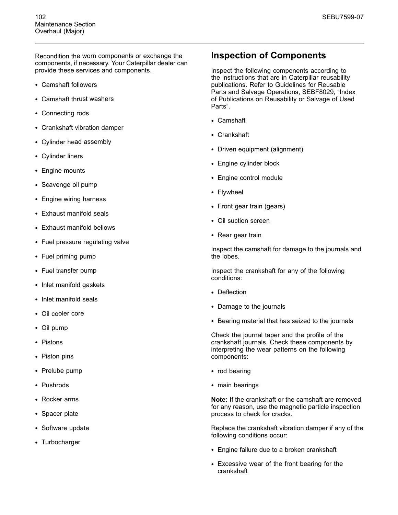Recondition the worn components or exchange the components, if necessary. Your Caterpillar dealer can provide these services and components.

- Camshaft followers
- Camshaft thrust washers
- Connecting rods
- Crankshaft vibration damper
- Cylinder head assembly
- Cylinder liners
- Engine mounts
- Scavenge oil pump
- Engine wiring harness
- Exhaust manifold seals
- Exhaust manifold bellows
- Fuel pressure regulating valve
- Fuel priming pump
- Fuel transfer pump
- Inlet manifold gaskets
- Inlet manifold seals
- Oil cooler core
- Oil pump
- Pistons
- Piston pins
- Prelube pump
- Pushrods
- Rocker arms
- Spacer plate
- Software update
- Turbocharger

### **Inspection of Components**

Inspect the following components according to the instructions that are in Caterpillar reusability publications. Refer to Guidelines for Reusable Parts and Salvage Operations, SEBF8029, "Index of Publications on Reusability or Salvage of Used Parts".

- Camshaft
- Crankshaft
- Driven equipment (alignment)
- Engine cylinder block
- Engine control module
- Flywheel
- Front gear train (gears)
- Oil suction screen
- Rear gear train

Inspect the camshaft for damage to the journals and the lobes.

Inspect the crankshaft for any of the following conditions:

- Deflection
- Damage to the journals
- Bearing material that has seized to the journals

Check the journal taper and the profile of the crankshaft journals. Check these components by interpreting the wear patterns on the following components:

- rod bearing
- main bearings

**Note:** If the crankshaft or the camshaft are removed for any reason, use the magnetic particle inspection process to check for cracks.

Replace the crankshaft vibration damper if any of the following conditions occur:

- Engine failure due to a broken crankshaft
- Excessive wear of the front bearing for the crankshaft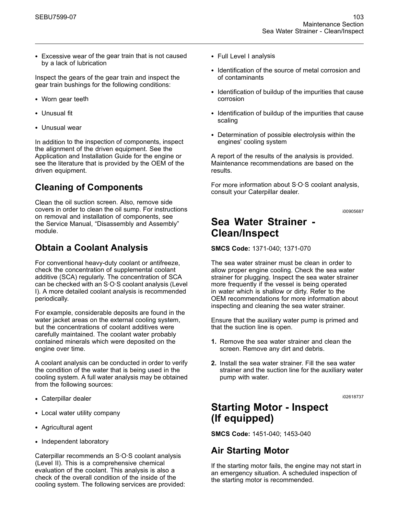• Excessive wear of the gear train that is not caused by a lack of lubrication

Inspect the gears of the gear train and inspect the gear train bushings for the following conditions:

- Worn gear teeth
- Unusual fit
- Unusual wear

In addition to the inspection of components, inspect the alignment of the driven equipment. See the Application and Installation Guide for the engine or see the literature that is provided by the OEM of the driven equipment.

# **Cleaning of Components**

Clean the oil suction screen. Also, remove side covers in order to clean the oil sump. For instructions on removal and installation of components, see the Service Manual, "Disassembly and Assembly" module.

# **Obtain a Coolant Analysis**

For conventional heavy-duty coolant or antifreeze, check the concentration of supplemental coolant additive (SCA) regularly. The concentration of SCA can be checked with an S·O·S coolant analysis (Level I). A more detailed coolant analysis is recommended periodically.

For example, considerable deposits are found in the water jacket areas on the external cooling system, but the concentrations of coolant additives were carefully maintained. The coolant water probably contained minerals which were deposited on the engine over time.

A coolant analysis can be conducted in order to verify the condition of the water that is being used in the cooling system. A full water analysis may be obtained from the following sources:

- Caterpillar dealer
- Local water utility company
- Agricultural agent
- Independent laboratory

Caterpillar recommends an S·O·S coolant analysis (Level II). This is a comprehensive chemical evaluation of the coolant. This analysis is also a check of the overall condition of the inside of the cooling system. The following services are provided:

- Full Level I analysis
- Identification of the source of metal corrosion and of contaminants
- Identification of buildup of the impurities that cause corrosion
- Identification of buildup of the impurities that cause scaling
- Determination of possible electrolysis within the engines' cooling system

A report of the results of the analysis is provided. Maintenance recommendations are based on the results.

For more information about S·O·S coolant analysis, consult your Caterpillar dealer.

i00905687

# **Sea Water Strainer - Clean/Inspect**

**SMCS Code:** 1371-040; 1371-070

The sea water strainer must be clean in order to allow proper engine cooling. Check the sea water strainer for plugging. Inspect the sea water strainer more frequently if the vessel is being operated in water which is shallow or dirty. Refer to the OEM recommendations for more information about inspecting and cleaning the sea water strainer.

Ensure that the auxiliary water pump is primed and that the suction line is open.

- **1.** Remove the sea water strainer and clean the screen. Remove any dirt and debris.
- **2.** Install the sea water strainer. Fill the sea water strainer and the suction line for the auxiliary water pump with water.

i02618737

# **Starting Motor - Inspect (If equipped)**

**SMCS Code:** 1451-040; 1453-040

### **Air Starting Motor**

If the starting motor fails, the engine may not start in an emergency situation. A scheduled inspection of the starting motor is recommended.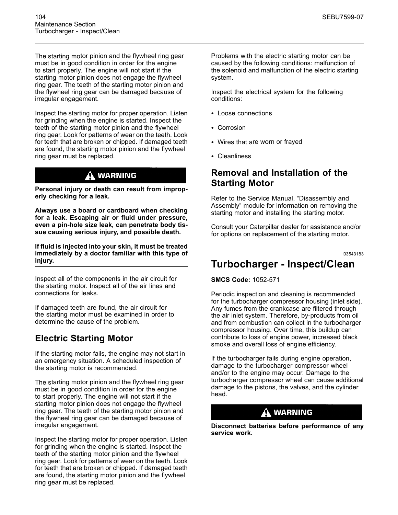The starting motor pinion and the flywheel ring gear must be in good condition in order for the engine to start properly. The engine will not start if the starting motor pinion does not engage the flywheel ring gear. The teeth of the starting motor pinion and the flywheel ring gear can be damaged because of irregular engagement.

Inspect the starting motor for proper operation. Listen for grinding when the engine is started. Inspect the teeth of the starting motor pinion and the flywheel ring gear. Look for patterns of wear on the teeth. Look for teeth that are broken or chipped. If damaged teeth are found, the starting motor pinion and the flywheel ring gear must be replaced.

### **WARNING**

**Personal injury or death can result from improperly checking for a leak.**

**Always use a board or cardboard when checking for a leak. Escaping air or fluid under pressure, even a pin-hole size leak, can penetrate body tissue causing serious injury, and possible death.**

**If fluid is injected into your skin, it must be treated immediately by a doctor familiar with this type of injury.**

Inspect all of the components in the air circuit for the starting motor. Inspect all of the air lines and connections for leaks.

If damaged teeth are found, the air circuit for the starting motor must be examined in order to determine the cause of the problem.

# **Electric Starting Motor**

If the starting motor fails, the engine may not start in an emergency situation. A scheduled inspection of the starting motor is recommended.

The starting motor pinion and the flywheel ring gear must be in good condition in order for the engine to start properly. The engine will not start if the starting motor pinion does not engage the flywheel ring gear. The teeth of the starting motor pinion and the flywheel ring gear can be damaged because of irregular engagement.

Inspect the starting motor for proper operation. Listen for grinding when the engine is started. Inspect the teeth of the starting motor pinion and the flywheel ring gear. Look for patterns of wear on the teeth. Look for teeth that are broken or chipped. If damaged teeth are found, the starting motor pinion and the flywheel ring gear must be replaced.

Problems with the electric starting motor can be caused by the following conditions: malfunction of the solenoid and malfunction of the electric starting system.

Inspect the electrical system for the following conditions:

- Loose connections
- Corrosion
- Wires that are worn or frayed
- Cleanliness

### **Removal and Installation of the Starting Motor**

Refer to the Service Manual, "Disassembly and Assembly" module for information on removing the starting motor and installing the starting motor.

Consult your Caterpillar dealer for assistance and/or for options on replacement of the starting motor.

i03543183

# **Turbocharger - Inspect/Clean**

**SMCS Code:** 1052-571

Periodic inspection and cleaning is recommended for the turbocharger compressor housing (inlet side). Any fumes from the crankcase are filtered through the air inlet system. Therefore, by-products from oil and from combustion can collect in the turbocharger compressor housing. Over time, this buildup can contribute to loss of engine power, increased black smoke and overall loss of engine efficiency.

If the turbocharger fails during engine operation, damage to the turbocharger compressor wheel and/or to the engine may occur. Damage to the turbocharger compressor wheel can cause additional damage to the pistons, the valves, and the cylinder head.

### A WARNING

**Disconnect batteries before performance of any service work.**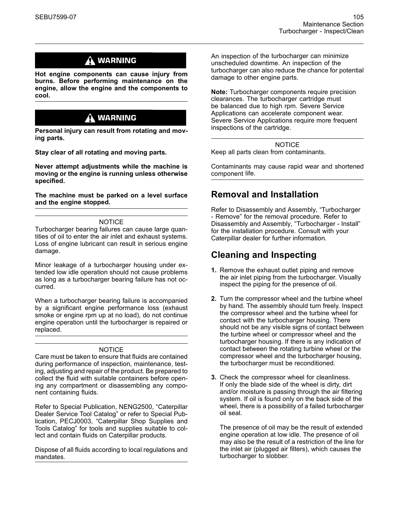# $\Lambda$  WARNING

**Hot engine components can cause injury from burns. Before performing maintenance on the engine, allow the engine and the components to cool.**

# $\Lambda$  warning

**Personal injury can result from rotating and moving parts.**

**Stay clear of all rotating and moving parts.**

**Never attempt adjustments while the machine is moving or the engine is running unless otherwise specified.**

**The machine must be parked on a level surface and the engine stopped.**

#### **NOTICE**

Turbocharger bearing failures can cause large quantities of oil to enter the air inlet and exhaust systems. Loss of engine lubricant can result in serious engine damage.

Minor leakage of a turbocharger housing under extended low idle operation should not cause problems as long as a turbocharger bearing failure has not occurred.

When a turbocharger bearing failure is accompanied by a significant engine performance loss (exhaust smoke or engine rpm up at no load), do not continue engine operation until the turbocharger is repaired or replaced.

#### NOTICE

Care must be taken to ensure that fluids are contained during performance of inspection, maintenance, testing, adjusting and repair of the product. Be prepared to collect the fluid with suitable containers before opening any compartment or disassembling any component containing fluids.

Refer to Special Publication, NENG2500, "Caterpillar Dealer Service Tool Catalog" or refer to Special Publication, PECJ0003, "Caterpillar Shop Supplies and Tools Catalog" for tools and supplies suitable to collect and contain fluids on Caterpillar products.

Dispose of all fluids according to local regulations and mandates.

An inspection of the turbocharger can minimize unscheduled downtime. An inspection of the turbocharger can also reduce the chance for potential damage to other engine parts.

**Note:** Turbocharger components require precision clearances. The turbocharger cartridge must be balanced due to high rpm. Severe Service Applications can accelerate component wear. Severe Service Applications require more frequent inspections of the cartridge.

**NOTICE** 

Keep all parts clean from contaminants.

Contaminants may cause rapid wear and shortened component life.

### **Removal and Installation**

Refer to Disassembly and Assembly, "Turbocharger - Remove" for the removal procedure. Refer to Disassembly and Assembly, "Turbocharger - Install" for the installation procedure. Consult with your Caterpillar dealer for further information.

# **Cleaning and Inspecting**

- **1.** Remove the exhaust outlet piping and remove the air inlet piping from the turbocharger. Visually inspect the piping for the presence of oil.
- **2.** Turn the compressor wheel and the turbine wheel by hand. The assembly should turn freely. Inspect the compressor wheel and the turbine wheel for contact with the turbocharger housing. There should not be any visible signs of contact between the turbine wheel or compressor wheel and the turbocharger housing. If there is any indication of contact between the rotating turbine wheel or the compressor wheel and the turbocharger housing, the turbocharger must be reconditioned.
- **3.** Check the compressor wheel for cleanliness. If only the blade side of the wheel is dirty, dirt and/or moisture is passing through the air filtering system. If oil is found only on the back side of the wheel, there is a possibility of a failed turbocharger oil seal.

The presence of oil may be the result of extended engine operation at low idle. The presence of oil may also be the result of a restriction of the line for the inlet air (plugged air filters), which causes the turbocharger to slobber.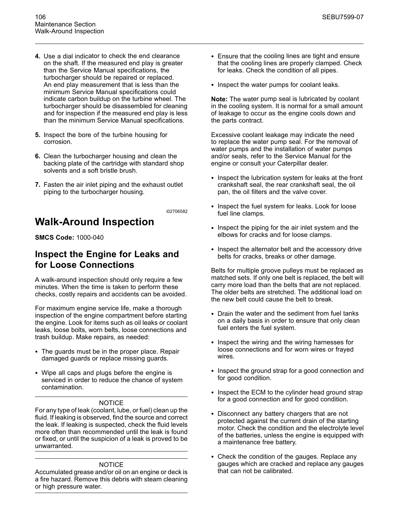- **4.** Use a dial indicator to check the end clearance on the shaft. If the measured end play is greater than the Service Manual specifications, the turbocharger should be repaired or replaced. An end play measurement that is less than the minimum Service Manual specifications could indicate carbon buildup on the turbine wheel. The turbocharger should be disassembled for cleaning and for inspection if the measured end play is less than the minimum Service Manual specifications.
- **5.** Inspect the bore of the turbine housing for corrosion.
- **6.** Clean the turbocharger housing and clean the backing plate of the cartridge with standard shop solvents and a soft bristle brush.
- **7.** Fasten the air inlet piping and the exhaust outlet piping to the turbocharger housing.

# **Walk-Around Inspection**

**SMCS Code:** 1000-040

### **Inspect the Engine for Leaks and for Loose Connections**

A walk-around inspection should only require a few minutes. When the time is taken to perform these checks, costly repairs and accidents can be avoided.

For maximum engine service life, make a thorough inspection of the engine compartment before starting the engine. Look for items such as oil leaks or coolant leaks, loose bolts, worn belts, loose connections and trash buildup. Make repairs, as needed:

- The guards must be in the proper place. Repair damaged guards or replace missing guards.
- Wipe all caps and plugs before the engine is serviced in order to reduce the chance of system contamination.

#### **NOTICE**

For any type of leak (coolant, lube, or fuel) clean up the fluid. If leaking is observed, find the source and correct the leak. If leaking is suspected, check the fluid levels more often than recommended until the leak is found or fixed, or until the suspicion of a leak is proved to be unwarranted.

#### **NOTICE**

Accumulated grease and/or oil on an engine or deck is a fire hazard. Remove this debris with steam cleaning or high pressure water.

- Ensure that the cooling lines are tight and ensure that the cooling lines are properly clamped. Check for leaks. Check the condition of all pipes.
- Inspect the water pumps for coolant leaks.

**Note:** The water pump seal is lubricated by coolant in the cooling system. It is normal for a small amount of leakage to occur as the engine cools down and the parts contract.

Excessive coolant leakage may indicate the need to replace the water pump seal. For the removal of water pumps and the installation of water pumps and/or seals, refer to the Service Manual for the engine or consult your Caterpillar dealer.

- Inspect the lubrication system for leaks at the front crankshaft seal, the rear crankshaft seal, the oil pan, the oil filters and the valve cover.
- Inspect the fuel system for leaks. Look for loose fuel line clamps.
- Inspect the piping for the air inlet system and the elbows for cracks and for loose clamps.
- Inspect the alternator belt and the accessory drive belts for cracks, breaks or other damage.

Belts for multiple groove pulleys must be replaced as matched sets. If only one belt is replaced, the belt will carry more load than the belts that are not replaced. The older belts are stretched. The additional load on the new belt could cause the belt to break.

- Drain the water and the sediment from fuel tanks on a daily basis in order to ensure that only clean fuel enters the fuel system.
- Inspect the wiring and the wiring harnesses for loose connections and for worn wires or frayed wires.
- Inspect the ground strap for a good connection and for good condition.
- Inspect the ECM to the cylinder head ground strap for a good connection and for good condition.
- Disconnect any battery chargers that are not protected against the current drain of the starting motor. Check the condition and the electrolyte level of the batteries, unless the engine is equipped with a maintenance free battery.
- Check the condition of the gauges. Replace any gauges which are cracked and replace any gauges that can not be calibrated.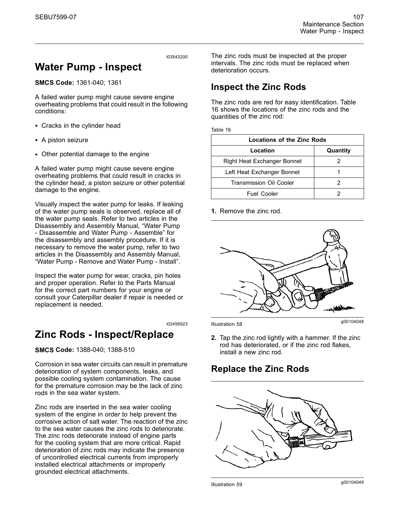# **Water Pump - Inspect**

**SMCS Code:** 1361-040; 1361

A failed water pump might cause severe engine overheating problems that could result in the following conditions:

- Cracks in the cylinder head
- A piston seizure
- Other potential damage to the engine

A failed water pump might cause severe engine overheating problems that could result in cracks in the cylinder head, a piston seizure or other potential damage to the engine.

Visually inspect the water pump for leaks. If leaking of the water pump seals is observed, replace all of the water pump seals. Refer to two articles in the Disassembly and Assembly Manual, "Water Pump - Disassemble and Water Pump - Assemble" for the disassembly and assembly procedure. If it is necessary to remove the water pump, refer to two articles in the Disassembly and Assembly Manual, "Water Pump - Remove and Water Pump - Install".

Inspect the water pump for wear, cracks, pin holes and proper operation. Refer to the Parts Manual for the correct part numbers for your engine or consult your Caterpillar dealer if repair is needed or replacement is needed.

i02456923

# **Zinc Rods - Inspect/Replace**

**SMCS Code:** 1388-040; 1388-510

Corrosion in sea water circuits can result in premature deterioration of system components, leaks, and possible cooling system contamination. The cause for the premature corrosion may be the lack of zinc rods in the sea water system.

Zinc rods are inserted in the sea water cooling system of the engine in order to help prevent the corrosive action of salt water. The reaction of the zinc to the sea water causes the zinc rods to deteriorate. The zinc rods deteriorate instead of engine parts for the cooling system that are more critical. Rapid deterioration of zinc rods may indicate the presence of uncontrolled electrical currents from improperly installed electrical attachments or improperly grounded electrical attachments.

The zinc rods must be inspected at the proper intervals. The zinc rods must be replaced when deterioration occurs.

# **Inspect the Zinc Rods**

The zinc rods are red for easy identification. Table 16 shows the locations of the zinc rods and the quantities of the zinc rod:

Table 16

| Locations of the Zinc Rods         |  |  |
|------------------------------------|--|--|
| Location<br>Quantity               |  |  |
| <b>Right Heat Exchanger Bonnet</b> |  |  |
| Left Heat Exchanger Bonnet         |  |  |
| <b>Transmission Oil Cooler</b>     |  |  |
| <b>Fuel Cooler</b>                 |  |  |

**1.** Remove the zinc rod.



g00104048 Illustration 58

**2.** Tap the zinc rod lightly with a hammer. If the zinc rod has deteriorated, or if the zinc rod flakes, install a new zinc rod.

# **Replace the Zinc Rods**



g00104049 Illustration 59